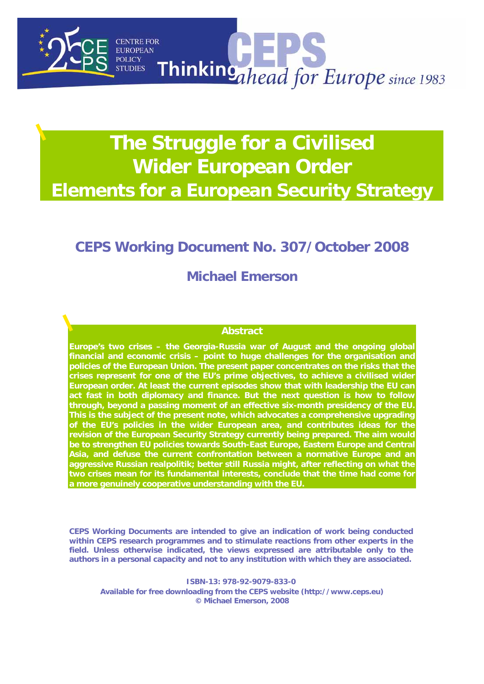

# **The Struggle for a Civilised Wider European Order Elements for a European Security Strategy**

# **CEPS Working Document No. 307/October 2008**

## **Michael Emerson**

#### **Abstract**

**Europe's two crises – the Georgia-Russia war of August and the ongoing global financial and economic crisis – point to huge challenges for the organisation and policies of the European Union. The present paper concentrates on the risks that the crises represent for one of the EU's prime objectives, to achieve a civilised wider European order. At least the current episodes show that with leadership the EU can act fast in both diplomacy and finance. But the next question is how to follow through, beyond a passing moment of an effective six-month presidency of the EU. This is the subject of the present note, which advocates a comprehensive upgrading of the EU's policies in the wider European area, and contributes ideas for the revision of the European Security Strategy currently being prepared. The aim would be to strengthen EU policies towards South-East Europe, Eastern Europe and Central Asia, and defuse the current confrontation between a normative Europe and an aggressive Russian realpolitik; better still Russia might, after reflecting on what the two crises mean for its fundamental interests, conclude that the time had come for a more genuinely cooperative understanding with the EU.** 

**CEPS Working Documents are intended to give an indication of work being conducted within CEPS research programmes and to stimulate reactions from other experts in the field. Unless otherwise indicated, the views expressed are attributable only to the authors in a personal capacity and not to any institution with which they are associated.** 

**ISBN-13: 978-92-9079-833-0 Available for free downloading from the CEPS website (http://www.ceps.eu) © Michael Emerson, 2008**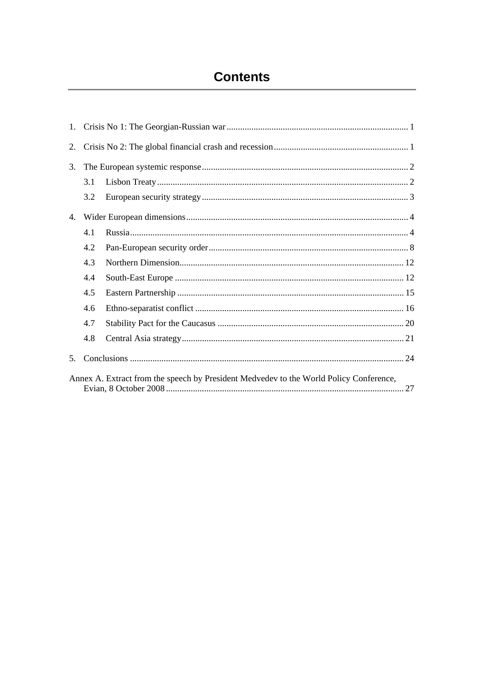# **Contents**

| 2.                                                                                     |     |  |  |
|----------------------------------------------------------------------------------------|-----|--|--|
| 3.                                                                                     |     |  |  |
|                                                                                        | 3.1 |  |  |
|                                                                                        | 3.2 |  |  |
| 4.                                                                                     |     |  |  |
|                                                                                        | 4.1 |  |  |
|                                                                                        | 4.2 |  |  |
|                                                                                        | 4.3 |  |  |
|                                                                                        | 4.4 |  |  |
|                                                                                        | 4.5 |  |  |
|                                                                                        | 4.6 |  |  |
|                                                                                        | 4.7 |  |  |
|                                                                                        | 4.8 |  |  |
| 5 <sub>1</sub>                                                                         |     |  |  |
| Annex A. Extract from the speech by President Medvedev to the World Policy Conference, |     |  |  |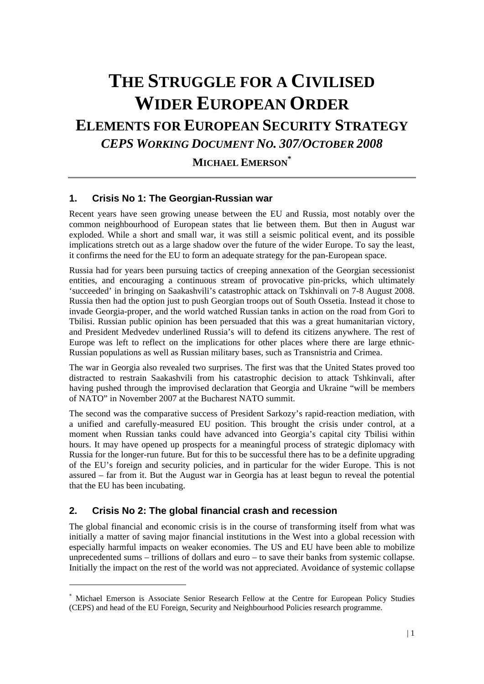# **THE STRUGGLE FOR A CIVILISED WIDER EUROPEAN ORDER**

## **ELEMENTS FOR EUROPEAN SECURITY STRATEGY** *CEPS WORKING DOCUMENT NO. 307/OCTOBER 2008*

**MICHAEL EMERSON\***

## **1. Crisis No 1: The Georgian-Russian war**

Recent years have seen growing unease between the EU and Russia, most notably over the common neighbourhood of European states that lie between them. But then in August war exploded. While a short and small war, it was still a seismic political event, and its possible implications stretch out as a large shadow over the future of the wider Europe. To say the least, it confirms the need for the EU to form an adequate strategy for the pan-European space.

Russia had for years been pursuing tactics of creeping annexation of the Georgian secessionist entities, and encouraging a continuous stream of provocative pin-pricks, which ultimately 'succeeded' in bringing on Saakashvili's catastrophic attack on Tskhinvali on 7-8 August 2008. Russia then had the option just to push Georgian troops out of South Ossetia. Instead it chose to invade Georgia-proper, and the world watched Russian tanks in action on the road from Gori to Tbilisi. Russian public opinion has been persuaded that this was a great humanitarian victory, and President Medvedev underlined Russia's will to defend its citizens anywhere. The rest of Europe was left to reflect on the implications for other places where there are large ethnic-Russian populations as well as Russian military bases, such as Transnistria and Crimea.

The war in Georgia also revealed two surprises. The first was that the United States proved too distracted to restrain Saakashvili from his catastrophic decision to attack Tshkinvali, after having pushed through the improvised declaration that Georgia and Ukraine "will be members of NATO" in November 2007 at the Bucharest NATO summit.

The second was the comparative success of President Sarkozy's rapid-reaction mediation, with a unified and carefully-measured EU position. This brought the crisis under control, at a moment when Russian tanks could have advanced into Georgia's capital city Tbilisi within hours. It may have opened up prospects for a meaningful process of strategic diplomacy with Russia for the longer-run future. But for this to be successful there has to be a definite upgrading of the EU's foreign and security policies, and in particular for the wider Europe. This is not assured – far from it. But the August war in Georgia has at least begun to reveal the potential that the EU has been incubating.

## **2. Crisis No 2: The global financial crash and recession**

1

The global financial and economic crisis is in the course of transforming itself from what was initially a matter of saving major financial institutions in the West into a global recession with especially harmful impacts on weaker economies. The US and EU have been able to mobilize unprecedented sums – trillions of dollars and euro – to save their banks from systemic collapse. Initially the impact on the rest of the world was not appreciated. Avoidance of systemic collapse

<sup>\*</sup> Michael Emerson is Associate Senior Research Fellow at the Centre for European Policy Studies (CEPS) and head of the EU Foreign, Security and Neighbourhood Policies research programme.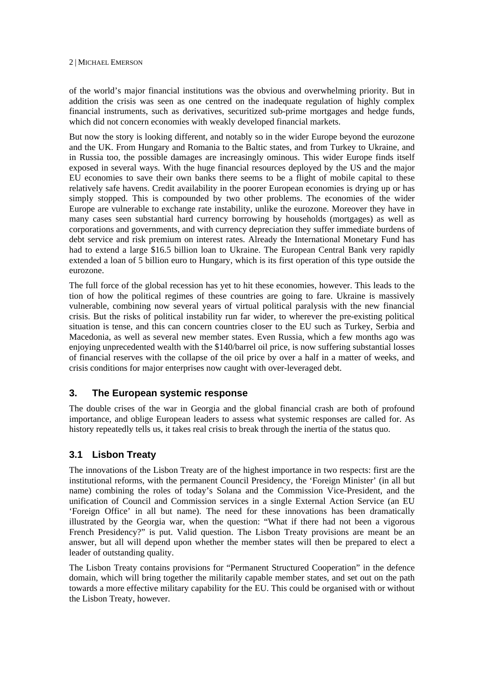of the world's major financial institutions was the obvious and overwhelming priority. But in addition the crisis was seen as one centred on the inadequate regulation of highly complex financial instruments, such as derivatives, securitized sub-prime mortgages and hedge funds, which did not concern economies with weakly developed financial markets.

But now the story is looking different, and notably so in the wider Europe beyond the eurozone and the UK. From Hungary and Romania to the Baltic states, and from Turkey to Ukraine, and in Russia too, the possible damages are increasingly ominous. This wider Europe finds itself exposed in several ways. With the huge financial resources deployed by the US and the major EU economies to save their own banks there seems to be a flight of mobile capital to these relatively safe havens. Credit availability in the poorer European economies is drying up or has simply stopped. This is compounded by two other problems. The economies of the wider Europe are vulnerable to exchange rate instability, unlike the eurozone. Moreover they have in many cases seen substantial hard currency borrowing by households (mortgages) as well as corporations and governments, and with currency depreciation they suffer immediate burdens of debt service and risk premium on interest rates. Already the International Monetary Fund has had to extend a large \$16.5 billion loan to Ukraine. The European Central Bank very rapidly extended a loan of 5 billion euro to Hungary, which is its first operation of this type outside the eurozone.

The full force of the global recession has yet to hit these economies, however. This leads to the tion of how the political regimes of these countries are going to fare. Ukraine is massively vulnerable, combining now several years of virtual political paralysis with the new financial crisis. But the risks of political instability run far wider, to wherever the pre-existing political situation is tense, and this can concern countries closer to the EU such as Turkey, Serbia and Macedonia, as well as several new member states. Even Russia, which a few months ago was enjoying unprecedented wealth with the \$140/barrel oil price, is now suffering substantial losses of financial reserves with the collapse of the oil price by over a half in a matter of weeks, and crisis conditions for major enterprises now caught with over-leveraged debt.

## **3. The European systemic response**

The double crises of the war in Georgia and the global financial crash are both of profound importance, and oblige European leaders to assess what systemic responses are called for. As history repeatedly tells us, it takes real crisis to break through the inertia of the status quo.

## **3.1 Lisbon Treaty**

The innovations of the Lisbon Treaty are of the highest importance in two respects: first are the institutional reforms, with the permanent Council Presidency, the 'Foreign Minister' (in all but name) combining the roles of today's Solana and the Commission Vice-President, and the unification of Council and Commission services in a single External Action Service (an EU 'Foreign Office' in all but name). The need for these innovations has been dramatically illustrated by the Georgia war, when the question: "What if there had not been a vigorous French Presidency?" is put. Valid question. The Lisbon Treaty provisions are meant be an answer, but all will depend upon whether the member states will then be prepared to elect a leader of outstanding quality.

The Lisbon Treaty contains provisions for "Permanent Structured Cooperation" in the defence domain, which will bring together the militarily capable member states, and set out on the path towards a more effective military capability for the EU. This could be organised with or without the Lisbon Treaty, however.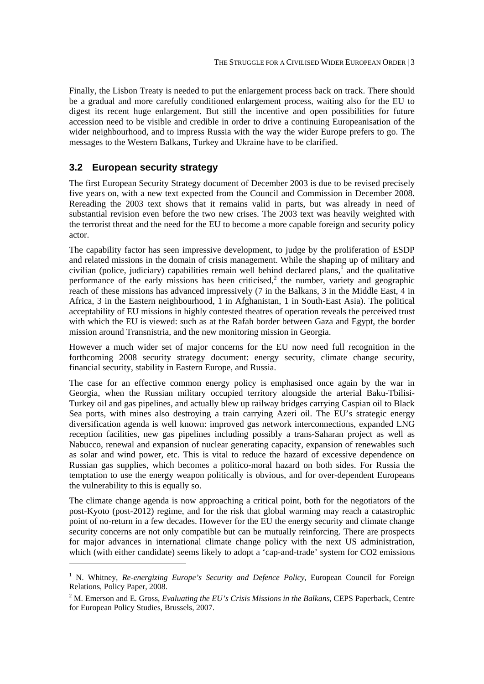Finally, the Lisbon Treaty is needed to put the enlargement process back on track. There should be a gradual and more carefully conditioned enlargement process, waiting also for the EU to digest its recent huge enlargement. But still the incentive and open possibilities for future accession need to be visible and credible in order to drive a continuing Europeanisation of the wider neighbourhood, and to impress Russia with the way the wider Europe prefers to go. The messages to the Western Balkans, Turkey and Ukraine have to be clarified.

### **3.2 European security strategy**

1

The first European Security Strategy document of December 2003 is due to be revised precisely five years on, with a new text expected from the Council and Commission in December 2008. Rereading the 2003 text shows that it remains valid in parts, but was already in need of substantial revision even before the two new crises. The 2003 text was heavily weighted with the terrorist threat and the need for the EU to become a more capable foreign and security policy actor.

The capability factor has seen impressive development, to judge by the proliferation of ESDP and related missions in the domain of crisis management. While the shaping up of military and civilian (police, judiciary) capabilities remain well behind declared plans, $\overline{1}$  and the qualitative performance of the early missions has been criticised,<sup>2</sup> the number, variety and geographic reach of these missions has advanced impressively (7 in the Balkans, 3 in the Middle East, 4 in Africa, 3 in the Eastern neighbourhood, 1 in Afghanistan, 1 in South-East Asia). The political acceptability of EU missions in highly contested theatres of operation reveals the perceived trust with which the EU is viewed: such as at the Rafah border between Gaza and Egypt, the border mission around Transnistria, and the new monitoring mission in Georgia.

However a much wider set of major concerns for the EU now need full recognition in the forthcoming 2008 security strategy document: energy security, climate change security, financial security, stability in Eastern Europe, and Russia.

The case for an effective common energy policy is emphasised once again by the war in Georgia, when the Russian military occupied territory alongside the arterial Baku-Tbilisi-Turkey oil and gas pipelines, and actually blew up railway bridges carrying Caspian oil to Black Sea ports, with mines also destroying a train carrying Azeri oil. The EU's strategic energy diversification agenda is well known: improved gas network interconnections, expanded LNG reception facilities, new gas pipelines including possibly a trans-Saharan project as well as Nabucco, renewal and expansion of nuclear generating capacity, expansion of renewables such as solar and wind power, etc. This is vital to reduce the hazard of excessive dependence on Russian gas supplies, which becomes a politico-moral hazard on both sides. For Russia the temptation to use the energy weapon politically is obvious, and for over-dependent Europeans the vulnerability to this is equally so.

The climate change agenda is now approaching a critical point, both for the negotiators of the post-Kyoto (post-2012) regime, and for the risk that global warming may reach a catastrophic point of no-return in a few decades. However for the EU the energy security and climate change security concerns are not only compatible but can be mutually reinforcing. There are prospects for major advances in international climate change policy with the next US administration, which (with either candidate) seems likely to adopt a 'cap-and-trade' system for CO2 emissions

<sup>&</sup>lt;sup>1</sup> N. Whitney, *Re-energizing Europe's Security and Defence Policy*, European Council for Foreign Relations, Policy Paper, 2008.

<sup>2</sup> M. Emerson and E. Gross, *Evaluating the EU's Crisis Missions in the Balkans*, CEPS Paperback, Centre for European Policy Studies, Brussels, 2007.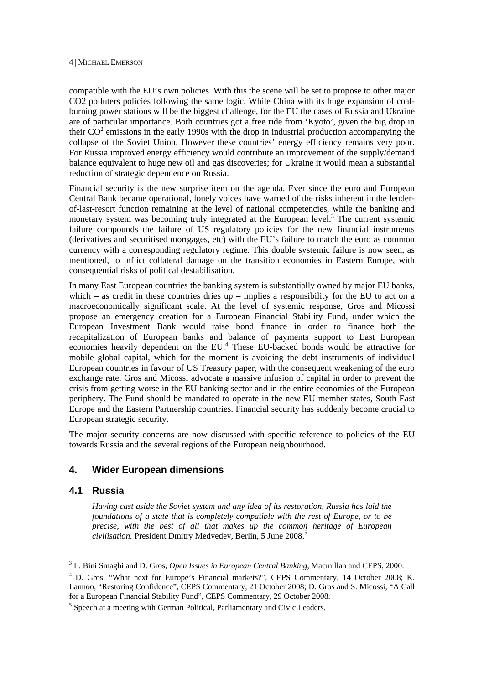compatible with the EU's own policies. With this the scene will be set to propose to other major CO2 polluters policies following the same logic. While China with its huge expansion of coalburning power stations will be the biggest challenge, for the EU the cases of Russia and Ukraine are of particular importance. Both countries got a free ride from 'Kyoto', given the big drop in their  $CO<sup>2</sup>$  emissions in the early 1990s with the drop in industrial production accompanying the collapse of the Soviet Union. However these countries' energy efficiency remains very poor. For Russia improved energy efficiency would contribute an improvement of the supply/demand balance equivalent to huge new oil and gas discoveries; for Ukraine it would mean a substantial reduction of strategic dependence on Russia.

Financial security is the new surprise item on the agenda. Ever since the euro and European Central Bank became operational, lonely voices have warned of the risks inherent in the lenderof-last-resort function remaining at the level of national competencies, while the banking and monetary system was becoming truly integrated at the European level. $3$  The current systemic failure compounds the failure of US regulatory policies for the new financial instruments (derivatives and securitised mortgages, etc) with the EU's failure to match the euro as common currency with a corresponding regulatory regime. This double systemic failure is now seen, as mentioned, to inflict collateral damage on the transition economies in Eastern Europe, with consequential risks of political destabilisation.

In many East European countries the banking system is substantially owned by major EU banks, which – as credit in these countries dries  $up$  – implies a responsibility for the EU to act on a macroeconomically significant scale. At the level of systemic response, Gros and Micossi propose an emergency creation for a European Financial Stability Fund, under which the European Investment Bank would raise bond finance in order to finance both the recapitalization of European banks and balance of payments support to East European economies heavily dependent on the EU.<sup>4</sup> These EU-backed bonds would be attractive for mobile global capital, which for the moment is avoiding the debt instruments of individual European countries in favour of US Treasury paper, with the consequent weakening of the euro exchange rate. Gros and Micossi advocate a massive infusion of capital in order to prevent the crisis from getting worse in the EU banking sector and in the entire economies of the European periphery. The Fund should be mandated to operate in the new EU member states, South East Europe and the Eastern Partnership countries. Financial security has suddenly become crucial to European strategic security.

The major security concerns are now discussed with specific reference to policies of the EU towards Russia and the several regions of the European neighbourhood.

## **4. Wider European dimensions**

## **4.1 Russia**

1

*Having cast aside the Soviet system and any idea of its restoration, Russia has laid the foundations of a state that is completely compatible with the rest of Europe, or to be precise, with the best of all that makes up the common heritage of European civilisation.* President Dmitry Medvedev, Berlin, 5 June 2008.5

<sup>&</sup>lt;sup>3</sup> L. Bini Smaghi and D. Gros, *Open Issues in European Central Banking*, Macmillan and CEPS, 2000.<br><sup>4</sup> D. Gros, "What part for Europe's Financial markets?", CEPS, Commantany, 14, October 2008.

D. Gros, "What next for Europe's Financial markets?", CEPS Commentary, 14 October 2008; K. Lannoo, "Restoring Confidence", CEPS Commentary, 21 October 2008; D. Gros and S. Micossi, "A Call for a European Financial Stability Fund", CEPS Commentary, 29 October 2008.

<sup>&</sup>lt;sup>5</sup> Speech at a meeting with German Political, Parliamentary and Civic Leaders.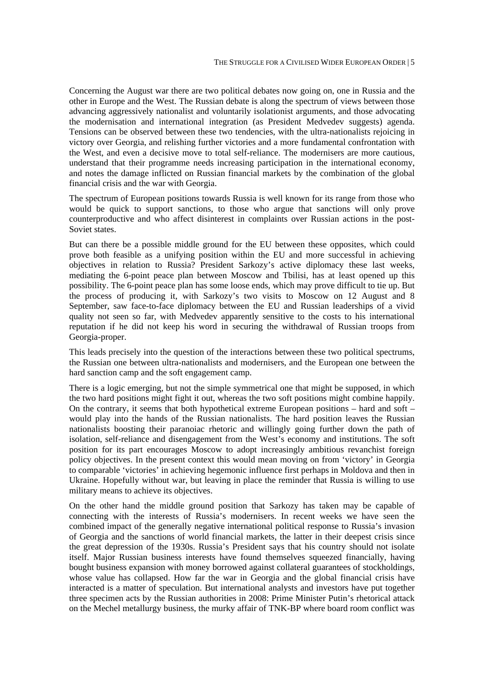Concerning the August war there are two political debates now going on, one in Russia and the other in Europe and the West. The Russian debate is along the spectrum of views between those advancing aggressively nationalist and voluntarily isolationist arguments, and those advocating the modernisation and international integration (as President Medvedev suggests) agenda. Tensions can be observed between these two tendencies, with the ultra-nationalists rejoicing in victory over Georgia, and relishing further victories and a more fundamental confrontation with the West, and even a decisive move to total self-reliance. The modernisers are more cautious, understand that their programme needs increasing participation in the international economy, and notes the damage inflicted on Russian financial markets by the combination of the global financial crisis and the war with Georgia.

The spectrum of European positions towards Russia is well known for its range from those who would be quick to support sanctions, to those who argue that sanctions will only prove counterproductive and who affect disinterest in complaints over Russian actions in the post-Soviet states.

But can there be a possible middle ground for the EU between these opposites, which could prove both feasible as a unifying position within the EU and more successful in achieving objectives in relation to Russia? President Sarkozy's active diplomacy these last weeks, mediating the 6-point peace plan between Moscow and Tbilisi, has at least opened up this possibility. The 6-point peace plan has some loose ends, which may prove difficult to tie up. But the process of producing it, with Sarkozy's two visits to Moscow on 12 August and 8 September, saw face-to-face diplomacy between the EU and Russian leaderships of a vivid quality not seen so far, with Medvedev apparently sensitive to the costs to his international reputation if he did not keep his word in securing the withdrawal of Russian troops from Georgia-proper.

This leads precisely into the question of the interactions between these two political spectrums, the Russian one between ultra-nationalists and modernisers, and the European one between the hard sanction camp and the soft engagement camp.

There is a logic emerging, but not the simple symmetrical one that might be supposed, in which the two hard positions might fight it out, whereas the two soft positions might combine happily. On the contrary, it seems that both hypothetical extreme European positions – hard and soft – would play into the hands of the Russian nationalists. The hard position leaves the Russian nationalists boosting their paranoiac rhetoric and willingly going further down the path of isolation, self-reliance and disengagement from the West's economy and institutions. The soft position for its part encourages Moscow to adopt increasingly ambitious revanchist foreign policy objectives. In the present context this would mean moving on from 'victory' in Georgia to comparable 'victories' in achieving hegemonic influence first perhaps in Moldova and then in Ukraine. Hopefully without war, but leaving in place the reminder that Russia is willing to use military means to achieve its objectives.

On the other hand the middle ground position that Sarkozy has taken may be capable of connecting with the interests of Russia's modernisers. In recent weeks we have seen the combined impact of the generally negative international political response to Russia's invasion of Georgia and the sanctions of world financial markets, the latter in their deepest crisis since the great depression of the 1930s. Russia's President says that his country should not isolate itself. Major Russian business interests have found themselves squeezed financially, having bought business expansion with money borrowed against collateral guarantees of stockholdings, whose value has collapsed. How far the war in Georgia and the global financial crisis have interacted is a matter of speculation. But international analysts and investors have put together three specimen acts by the Russian authorities in 2008: Prime Minister Putin's rhetorical attack on the Mechel metallurgy business, the murky affair of TNK-BP where board room conflict was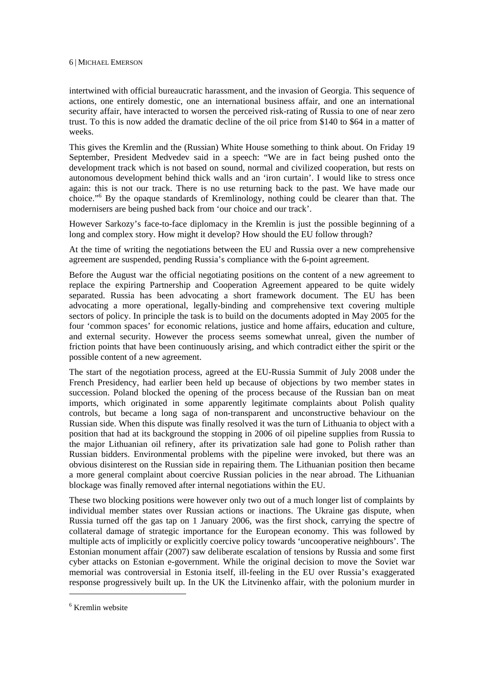intertwined with official bureaucratic harassment, and the invasion of Georgia. This sequence of actions, one entirely domestic, one an international business affair, and one an international security affair, have interacted to worsen the perceived risk-rating of Russia to one of near zero trust. To this is now added the dramatic decline of the oil price from \$140 to \$64 in a matter of weeks.

This gives the Kremlin and the (Russian) White House something to think about. On Friday 19 September, President Medvedev said in a speech: "We are in fact being pushed onto the development track which is not based on sound, normal and civilized cooperation, but rests on autonomous development behind thick walls and an 'iron curtain'. I would like to stress once again: this is not our track. There is no use returning back to the past. We have made our choice."<sup>6</sup> By the opaque standards of Kremlinology, nothing could be clearer than that. The modernisers are being pushed back from 'our choice and our track'.

However Sarkozy's face-to-face diplomacy in the Kremlin is just the possible beginning of a long and complex story. How might it develop? How should the EU follow through?

At the time of writing the negotiations between the EU and Russia over a new comprehensive agreement are suspended, pending Russia's compliance with the 6-point agreement.

Before the August war the official negotiating positions on the content of a new agreement to replace the expiring Partnership and Cooperation Agreement appeared to be quite widely separated. Russia has been advocating a short framework document. The EU has been advocating a more operational, legally-binding and comprehensive text covering multiple sectors of policy. In principle the task is to build on the documents adopted in May 2005 for the four 'common spaces' for economic relations, justice and home affairs, education and culture, and external security. However the process seems somewhat unreal, given the number of friction points that have been continuously arising, and which contradict either the spirit or the possible content of a new agreement.

The start of the negotiation process, agreed at the EU-Russia Summit of July 2008 under the French Presidency, had earlier been held up because of objections by two member states in succession. Poland blocked the opening of the process because of the Russian ban on meat imports, which originated in some apparently legitimate complaints about Polish quality controls, but became a long saga of non-transparent and unconstructive behaviour on the Russian side. When this dispute was finally resolved it was the turn of Lithuania to object with a position that had at its background the stopping in 2006 of oil pipeline supplies from Russia to the major Lithuanian oil refinery, after its privatization sale had gone to Polish rather than Russian bidders. Environmental problems with the pipeline were invoked, but there was an obvious disinterest on the Russian side in repairing them. The Lithuanian position then became a more general complaint about coercive Russian policies in the near abroad. The Lithuanian blockage was finally removed after internal negotiations within the EU.

These two blocking positions were however only two out of a much longer list of complaints by individual member states over Russian actions or inactions. The Ukraine gas dispute, when Russia turned off the gas tap on 1 January 2006, was the first shock, carrying the spectre of collateral damage of strategic importance for the European economy. This was followed by multiple acts of implicitly or explicitly coercive policy towards 'uncooperative neighbours'. The Estonian monument affair (2007) saw deliberate escalation of tensions by Russia and some first cyber attacks on Estonian e-government. While the original decision to move the Soviet war memorial was controversial in Estonia itself, ill-feeling in the EU over Russia's exaggerated response progressively built up. In the UK the Litvinenko affair, with the polonium murder in

1

<sup>6</sup> Kremlin website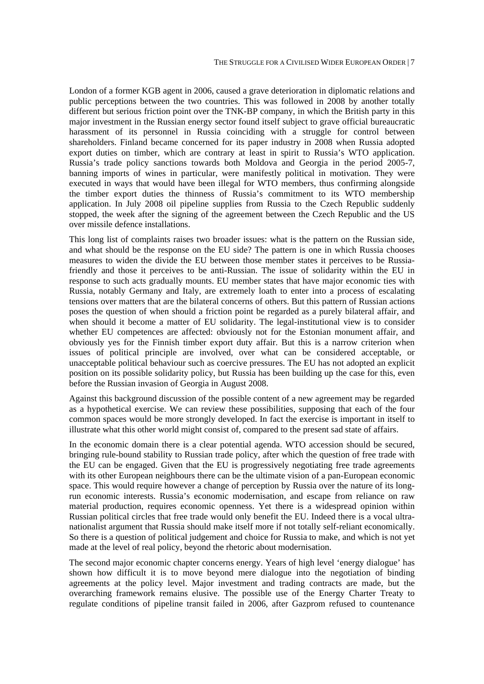London of a former KGB agent in 2006, caused a grave deterioration in diplomatic relations and public perceptions between the two countries. This was followed in 2008 by another totally different but serious friction point over the TNK-BP company, in which the British party in this major investment in the Russian energy sector found itself subject to grave official bureaucratic harassment of its personnel in Russia coinciding with a struggle for control between shareholders. Finland became concerned for its paper industry in 2008 when Russia adopted export duties on timber, which are contrary at least in spirit to Russia's WTO application. Russia's trade policy sanctions towards both Moldova and Georgia in the period 2005-7, banning imports of wines in particular, were manifestly political in motivation. They were executed in ways that would have been illegal for WTO members, thus confirming alongside the timber export duties the thinness of Russia's commitment to its WTO membership application. In July 2008 oil pipeline supplies from Russia to the Czech Republic suddenly stopped, the week after the signing of the agreement between the Czech Republic and the US over missile defence installations.

This long list of complaints raises two broader issues: what is the pattern on the Russian side, and what should be the response on the EU side? The pattern is one in which Russia chooses measures to widen the divide the EU between those member states it perceives to be Russiafriendly and those it perceives to be anti-Russian. The issue of solidarity within the EU in response to such acts gradually mounts. EU member states that have major economic ties with Russia, notably Germany and Italy, are extremely loath to enter into a process of escalating tensions over matters that are the bilateral concerns of others. But this pattern of Russian actions poses the question of when should a friction point be regarded as a purely bilateral affair, and when should it become a matter of EU solidarity. The legal-institutional view is to consider whether EU competences are affected: obviously not for the Estonian monument affair, and obviously yes for the Finnish timber export duty affair. But this is a narrow criterion when issues of political principle are involved, over what can be considered acceptable, or unacceptable political behaviour such as coercive pressures. The EU has not adopted an explicit position on its possible solidarity policy, but Russia has been building up the case for this, even before the Russian invasion of Georgia in August 2008.

Against this background discussion of the possible content of a new agreement may be regarded as a hypothetical exercise. We can review these possibilities, supposing that each of the four common spaces would be more strongly developed. In fact the exercise is important in itself to illustrate what this other world might consist of, compared to the present sad state of affairs.

In the economic domain there is a clear potential agenda. WTO accession should be secured, bringing rule-bound stability to Russian trade policy, after which the question of free trade with the EU can be engaged. Given that the EU is progressively negotiating free trade agreements with its other European neighbours there can be the ultimate vision of a pan-European economic space. This would require however a change of perception by Russia over the nature of its longrun economic interests. Russia's economic modernisation, and escape from reliance on raw material production, requires economic openness. Yet there is a widespread opinion within Russian political circles that free trade would only benefit the EU. Indeed there is a vocal ultranationalist argument that Russia should make itself more if not totally self-reliant economically. So there is a question of political judgement and choice for Russia to make, and which is not yet made at the level of real policy, beyond the rhetoric about modernisation.

The second major economic chapter concerns energy. Years of high level 'energy dialogue' has shown how difficult it is to move beyond mere dialogue into the negotiation of binding agreements at the policy level. Major investment and trading contracts are made, but the overarching framework remains elusive. The possible use of the Energy Charter Treaty to regulate conditions of pipeline transit failed in 2006, after Gazprom refused to countenance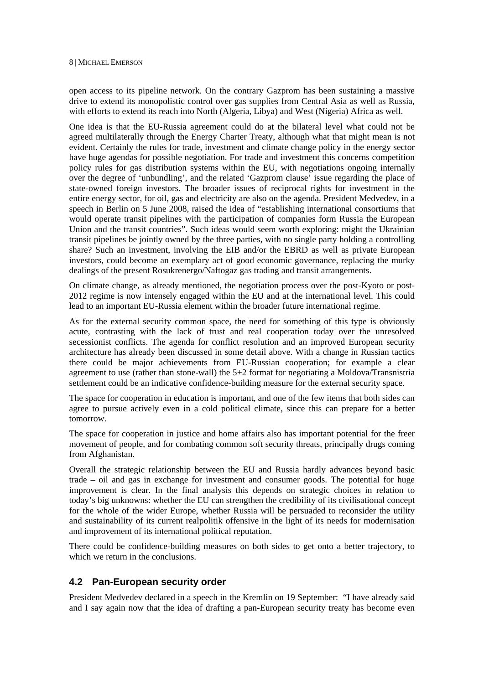open access to its pipeline network. On the contrary Gazprom has been sustaining a massive drive to extend its monopolistic control over gas supplies from Central Asia as well as Russia, with efforts to extend its reach into North (Algeria, Libya) and West (Nigeria) Africa as well.

One idea is that the EU-Russia agreement could do at the bilateral level what could not be agreed multilaterally through the Energy Charter Treaty, although what that might mean is not evident. Certainly the rules for trade, investment and climate change policy in the energy sector have huge agendas for possible negotiation. For trade and investment this concerns competition policy rules for gas distribution systems within the EU, with negotiations ongoing internally over the degree of 'unbundling', and the related 'Gazprom clause' issue regarding the place of state-owned foreign investors. The broader issues of reciprocal rights for investment in the entire energy sector, for oil, gas and electricity are also on the agenda. President Medvedev, in a speech in Berlin on 5 June 2008, raised the idea of "establishing international consortiums that would operate transit pipelines with the participation of companies form Russia the European Union and the transit countries". Such ideas would seem worth exploring: might the Ukrainian transit pipelines be jointly owned by the three parties, with no single party holding a controlling share? Such an investment, involving the EIB and/or the EBRD as well as private European investors, could become an exemplary act of good economic governance, replacing the murky dealings of the present Rosukrenergo/Naftogaz gas trading and transit arrangements.

On climate change, as already mentioned, the negotiation process over the post-Kyoto or post-2012 regime is now intensely engaged within the EU and at the international level. This could lead to an important EU-Russia element within the broader future international regime.

As for the external security common space, the need for something of this type is obviously acute, contrasting with the lack of trust and real cooperation today over the unresolved secessionist conflicts. The agenda for conflict resolution and an improved European security architecture has already been discussed in some detail above. With a change in Russian tactics there could be major achievements from EU-Russian cooperation; for example a clear agreement to use (rather than stone-wall) the 5+2 format for negotiating a Moldova/Transnistria settlement could be an indicative confidence-building measure for the external security space.

The space for cooperation in education is important, and one of the few items that both sides can agree to pursue actively even in a cold political climate, since this can prepare for a better tomorrow.

The space for cooperation in justice and home affairs also has important potential for the freer movement of people, and for combating common soft security threats, principally drugs coming from Afghanistan.

Overall the strategic relationship between the EU and Russia hardly advances beyond basic trade – oil and gas in exchange for investment and consumer goods. The potential for huge improvement is clear. In the final analysis this depends on strategic choices in relation to today's big unknowns: whether the EU can strengthen the credibility of its civilisational concept for the whole of the wider Europe, whether Russia will be persuaded to reconsider the utility and sustainability of its current realpolitik offensive in the light of its needs for modernisation and improvement of its international political reputation.

There could be confidence-building measures on both sides to get onto a better trajectory, to which we return in the conclusions.

## **4.2 Pan-European security order**

President Medvedev declared in a speech in the Kremlin on 19 September: "I have already said and I say again now that the idea of drafting a pan-European security treaty has become even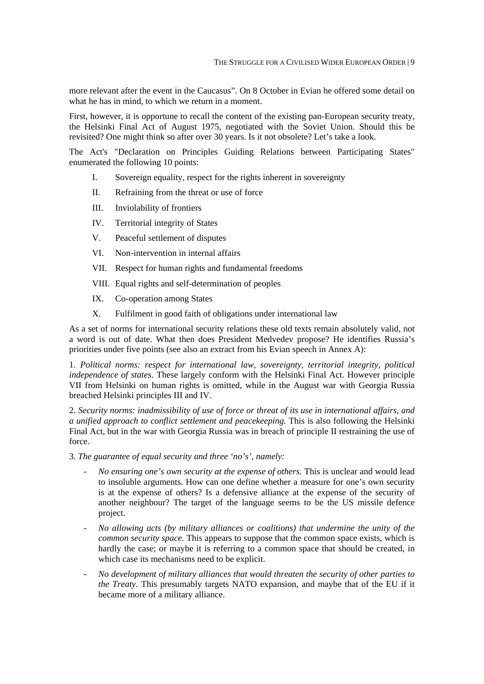more relevant after the event in the Caucasus". On 8 October in Evian he offered some detail on what he has in mind, to which we return in a moment.

First, however, it is opportune to recall the content of the existing pan-European security treaty, the Helsinki Final Act of August 1975, negotiated with the Soviet Union. Should this be revisited? One might think so after over 30 years. Is it not obsolete? Let's take a look.

The Act's "Declaration on Principles Guiding Relations between Participating States" enumerated the following 10 points:

- I. Sovereign equality, respect for the rights inherent in sovereignty
- II. Refraining from the threat or use of force
- III. Inviolability of frontiers
- IV. Territorial integrity of States
- V. Peaceful settlement of disputes
- VI. Non-intervention in internal affairs
- VII. Respect for human rights and fundamental freedoms
- VIII. Equal rights and self-determination of peoples
- IX. Co-operation among States
- X. Fulfilment in good faith of obligations under international law

As a set of norms for international security relations these old texts remain absolutely valid, not a word is out of date. What then does President Medvedev propose? He identifies Russia's priorities under five points (see also an extract from his Evian speech in Annex A):

1. *Political norms: respect for international law, sovereignty, territorial integrity, political independence of states*. These largely conform with the Helsinki Final Act. However principle VII from Helsinki on human rights is omitted, while in the August war with Georgia Russia breached Helsinki principles III and IV.

2. *Security norms: inadmissibility of use of force or threat of its use in international affairs, and a unified approach to conflict settlement and peacekeeping.* This is also following the Helsinki Final Act, but in the war with Georgia Russia was in breach of principle II restraining the use of force.

3. *The guarantee of equal security and three 'no's', namely:* 

- *No ensuring one's own security at the expense of others.* This is unclear and would lead to insoluble arguments. How can one define whether a measure for one's own security is at the expense of others? Is a defensive alliance at the expense of the security of another neighbour? The target of the language seems to be the US missile defence project.
- *No allowing acts (by military alliances or coalitions) that undermine the unity of the common security space.* This appears to suppose that the common space exists, which is hardly the case; or maybe it is referring to a common space that should be created, in which case its mechanisms need to be explicit.
- *No development of military alliances that would threaten the security of other parties to the Treaty.* This presumably targets NATO expansion, and maybe that of the EU if it became more of a military alliance.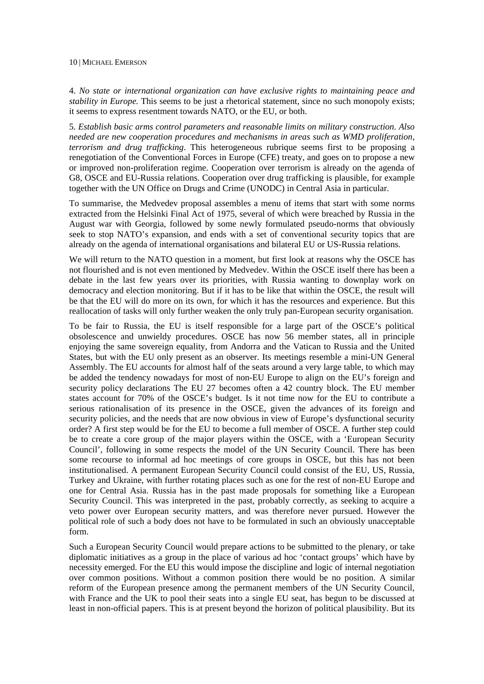4. *No state or international organization can have exclusive rights to maintaining peace and stability in Europe.* This seems to be just a rhetorical statement, since no such monopoly exists; it seems to express resentment towards NATO, or the EU, or both.

5. *Establish basic arms control parameters and reasonable limits on military construction. Also needed are new cooperation procedures and mechanisms in areas such as WMD proliferation, terrorism and drug trafficking*. This heterogeneous rubrique seems first to be proposing a renegotiation of the Conventional Forces in Europe (CFE) treaty, and goes on to propose a new or improved non-proliferation regime. Cooperation over terrorism is already on the agenda of G8, OSCE and EU-Russia relations. Cooperation over drug trafficking is plausible, for example together with the UN Office on Drugs and Crime (UNODC) in Central Asia in particular.

To summarise, the Medvedev proposal assembles a menu of items that start with some norms extracted from the Helsinki Final Act of 1975, several of which were breached by Russia in the August war with Georgia, followed by some newly formulated pseudo-norms that obviously seek to stop NATO's expansion, and ends with a set of conventional security topics that are already on the agenda of international organisations and bilateral EU or US-Russia relations.

We will return to the NATO question in a moment, but first look at reasons why the OSCE has not flourished and is not even mentioned by Medvedev. Within the OSCE itself there has been a debate in the last few years over its priorities, with Russia wanting to downplay work on democracy and election monitoring. But if it has to be like that within the OSCE, the result will be that the EU will do more on its own, for which it has the resources and experience. But this reallocation of tasks will only further weaken the only truly pan-European security organisation.

To be fair to Russia, the EU is itself responsible for a large part of the OSCE's political obsolescence and unwieldy procedures. OSCE has now 56 member states, all in principle enjoying the same sovereign equality, from Andorra and the Vatican to Russia and the United States, but with the EU only present as an observer. Its meetings resemble a mini-UN General Assembly. The EU accounts for almost half of the seats around a very large table, to which may be added the tendency nowadays for most of non-EU Europe to align on the EU's foreign and security policy declarations The EU 27 becomes often a 42 country block. The EU member states account for 70% of the OSCE's budget. Is it not time now for the EU to contribute a serious rationalisation of its presence in the OSCE, given the advances of its foreign and security policies, and the needs that are now obvious in view of Europe's dysfunctional security order? A first step would be for the EU to become a full member of OSCE. A further step could be to create a core group of the major players within the OSCE, with a 'European Security Council', following in some respects the model of the UN Security Council. There has been some recourse to informal ad hoc meetings of core groups in OSCE, but this has not been institutionalised. A permanent European Security Council could consist of the EU, US, Russia, Turkey and Ukraine, with further rotating places such as one for the rest of non-EU Europe and one for Central Asia. Russia has in the past made proposals for something like a European Security Council. This was interpreted in the past, probably correctly, as seeking to acquire a veto power over European security matters, and was therefore never pursued. However the political role of such a body does not have to be formulated in such an obviously unacceptable form.

Such a European Security Council would prepare actions to be submitted to the plenary, or take diplomatic initiatives as a group in the place of various ad hoc 'contact groups' which have by necessity emerged. For the EU this would impose the discipline and logic of internal negotiation over common positions. Without a common position there would be no position. A similar reform of the European presence among the permanent members of the UN Security Council, with France and the UK to pool their seats into a single EU seat, has begun to be discussed at least in non-official papers. This is at present beyond the horizon of political plausibility. But its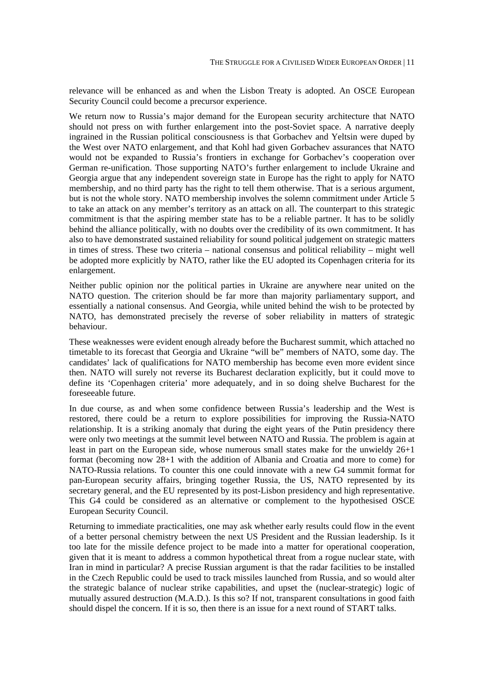relevance will be enhanced as and when the Lisbon Treaty is adopted. An OSCE European Security Council could become a precursor experience.

We return now to Russia's major demand for the European security architecture that NATO should not press on with further enlargement into the post-Soviet space. A narrative deeply ingrained in the Russian political consciousness is that Gorbachev and Yeltsin were duped by the West over NATO enlargement, and that Kohl had given Gorbachev assurances that NATO would not be expanded to Russia's frontiers in exchange for Gorbachev's cooperation over German re-unification. Those supporting NATO's further enlargement to include Ukraine and Georgia argue that any independent sovereign state in Europe has the right to apply for NATO membership, and no third party has the right to tell them otherwise. That is a serious argument, but is not the whole story. NATO membership involves the solemn commitment under Article 5 to take an attack on any member's territory as an attack on all. The counterpart to this strategic commitment is that the aspiring member state has to be a reliable partner. It has to be solidly behind the alliance politically, with no doubts over the credibility of its own commitment. It has also to have demonstrated sustained reliability for sound political judgement on strategic matters in times of stress. These two criteria – national consensus and political reliability – might well be adopted more explicitly by NATO, rather like the EU adopted its Copenhagen criteria for its enlargement.

Neither public opinion nor the political parties in Ukraine are anywhere near united on the NATO question. The criterion should be far more than majority parliamentary support, and essentially a national consensus. And Georgia, while united behind the wish to be protected by NATO, has demonstrated precisely the reverse of sober reliability in matters of strategic behaviour.

These weaknesses were evident enough already before the Bucharest summit, which attached no timetable to its forecast that Georgia and Ukraine "will be" members of NATO, some day. The candidates' lack of qualifications for NATO membership has become even more evident since then. NATO will surely not reverse its Bucharest declaration explicitly, but it could move to define its 'Copenhagen criteria' more adequately, and in so doing shelve Bucharest for the foreseeable future.

In due course, as and when some confidence between Russia's leadership and the West is restored, there could be a return to explore possibilities for improving the Russia-NATO relationship. It is a striking anomaly that during the eight years of the Putin presidency there were only two meetings at the summit level between NATO and Russia. The problem is again at least in part on the European side, whose numerous small states make for the unwieldy 26+1 format (becoming now 28+1 with the addition of Albania and Croatia and more to come) for NATO-Russia relations. To counter this one could innovate with a new G4 summit format for pan-European security affairs, bringing together Russia, the US, NATO represented by its secretary general, and the EU represented by its post-Lisbon presidency and high representative. This G4 could be considered as an alternative or complement to the hypothesised OSCE European Security Council.

Returning to immediate practicalities, one may ask whether early results could flow in the event of a better personal chemistry between the next US President and the Russian leadership. Is it too late for the missile defence project to be made into a matter for operational cooperation, given that it is meant to address a common hypothetical threat from a rogue nuclear state, with Iran in mind in particular? A precise Russian argument is that the radar facilities to be installed in the Czech Republic could be used to track missiles launched from Russia, and so would alter the strategic balance of nuclear strike capabilities, and upset the (nuclear-strategic) logic of mutually assured destruction (M.A.D.). Is this so? If not, transparent consultations in good faith should dispel the concern. If it is so, then there is an issue for a next round of START talks.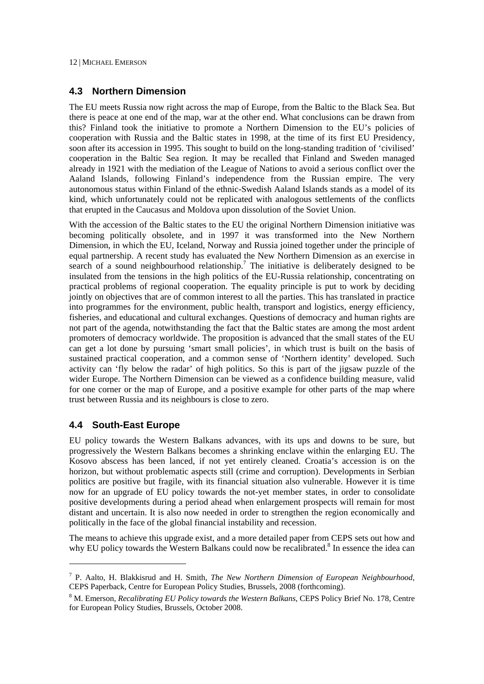## **4.3 Northern Dimension**

The EU meets Russia now right across the map of Europe, from the Baltic to the Black Sea. But there is peace at one end of the map, war at the other end. What conclusions can be drawn from this? Finland took the initiative to promote a Northern Dimension to the EU's policies of cooperation with Russia and the Baltic states in 1998, at the time of its first EU Presidency, soon after its accession in 1995. This sought to build on the long-standing tradition of 'civilised' cooperation in the Baltic Sea region. It may be recalled that Finland and Sweden managed already in 1921 with the mediation of the League of Nations to avoid a serious conflict over the Aaland Islands, following Finland's independence from the Russian empire. The very autonomous status within Finland of the ethnic-Swedish Aaland Islands stands as a model of its kind, which unfortunately could not be replicated with analogous settlements of the conflicts that erupted in the Caucasus and Moldova upon dissolution of the Soviet Union.

With the accession of the Baltic states to the EU the original Northern Dimension initiative was becoming politically obsolete, and in 1997 it was transformed into the New Northern Dimension, in which the EU, Iceland, Norway and Russia joined together under the principle of equal partnership. A recent study has evaluated the New Northern Dimension as an exercise in search of a sound neighbourhood relationship.<sup>7</sup> The initiative is deliberately designed to be insulated from the tensions in the high politics of the EU-Russia relationship, concentrating on practical problems of regional cooperation. The equality principle is put to work by deciding jointly on objectives that are of common interest to all the parties. This has translated in practice into programmes for the environment, public health, transport and logistics, energy efficiency, fisheries, and educational and cultural exchanges. Questions of democracy and human rights are not part of the agenda, notwithstanding the fact that the Baltic states are among the most ardent promoters of democracy worldwide. The proposition is advanced that the small states of the EU can get a lot done by pursuing 'smart small policies', in which trust is built on the basis of sustained practical cooperation, and a common sense of 'Northern identity' developed. Such activity can 'fly below the radar' of high politics. So this is part of the jigsaw puzzle of the wider Europe. The Northern Dimension can be viewed as a confidence building measure, valid for one corner or the map of Europe, and a positive example for other parts of the map where trust between Russia and its neighbours is close to zero.

## **4.4 South-East Europe**

1

EU policy towards the Western Balkans advances, with its ups and downs to be sure, but progressively the Western Balkans becomes a shrinking enclave within the enlarging EU. The Kosovo abscess has been lanced, if not yet entirely cleaned. Croatia's accession is on the horizon, but without problematic aspects still (crime and corruption). Developments in Serbian politics are positive but fragile, with its financial situation also vulnerable. However it is time now for an upgrade of EU policy towards the not-yet member states, in order to consolidate positive developments during a period ahead when enlargement prospects will remain for most distant and uncertain. It is also now needed in order to strengthen the region economically and politically in the face of the global financial instability and recession.

The means to achieve this upgrade exist, and a more detailed paper from CEPS sets out how and why EU policy towards the Western Balkans could now be recalibrated.<sup>8</sup> In essence the idea can

<sup>7</sup> P. Aalto, H. Blakkisrud and H. Smith, *The New Northern Dimension of European Neighbourhood*, CEPS Paperback, Centre for European Policy Studies, Brussels, 2008 (forthcoming).

<sup>8</sup> M. Emerson, *Recalibrating EU Policy towards the Western Balkans*, CEPS Policy Brief No. 178, Centre for European Policy Studies, Brussels, October 2008.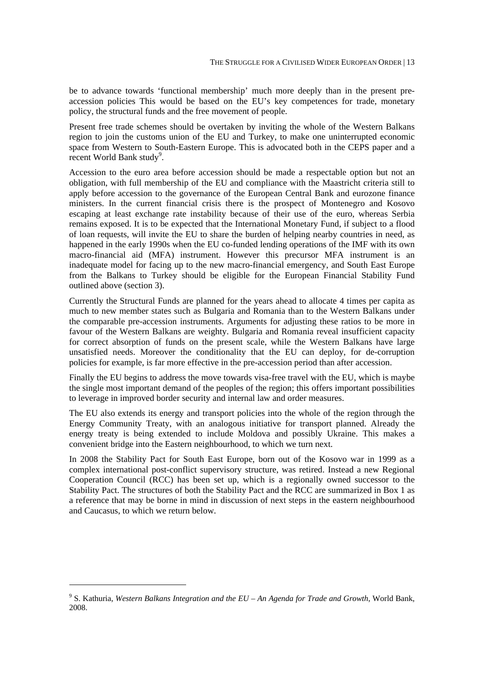be to advance towards 'functional membership' much more deeply than in the present preaccession policies This would be based on the EU's key competences for trade, monetary policy, the structural funds and the free movement of people.

Present free trade schemes should be overtaken by inviting the whole of the Western Balkans region to join the customs union of the EU and Turkey, to make one uninterrupted economic space from Western to South-Eastern Europe. This is advocated both in the CEPS paper and a recent World Bank study<sup>9</sup>.

Accession to the euro area before accession should be made a respectable option but not an obligation, with full membership of the EU and compliance with the Maastricht criteria still to apply before accession to the governance of the European Central Bank and eurozone finance ministers. In the current financial crisis there is the prospect of Montenegro and Kosovo escaping at least exchange rate instability because of their use of the euro, whereas Serbia remains exposed. It is to be expected that the International Monetary Fund, if subject to a flood of loan requests, will invite the EU to share the burden of helping nearby countries in need, as happened in the early 1990s when the EU co-funded lending operations of the IMF with its own macro-financial aid (MFA) instrument. However this precursor MFA instrument is an inadequate model for facing up to the new macro-financial emergency, and South East Europe from the Balkans to Turkey should be eligible for the European Financial Stability Fund outlined above (section 3).

Currently the Structural Funds are planned for the years ahead to allocate 4 times per capita as much to new member states such as Bulgaria and Romania than to the Western Balkans under the comparable pre-accession instruments. Arguments for adjusting these ratios to be more in favour of the Western Balkans are weighty. Bulgaria and Romania reveal insufficient capacity for correct absorption of funds on the present scale, while the Western Balkans have large unsatisfied needs. Moreover the conditionality that the EU can deploy, for de-corruption policies for example, is far more effective in the pre-accession period than after accession.

Finally the EU begins to address the move towards visa-free travel with the EU, which is maybe the single most important demand of the peoples of the region; this offers important possibilities to leverage in improved border security and internal law and order measures.

The EU also extends its energy and transport policies into the whole of the region through the Energy Community Treaty, with an analogous initiative for transport planned. Already the energy treaty is being extended to include Moldova and possibly Ukraine. This makes a convenient bridge into the Eastern neighbourhood, to which we turn next.

In 2008 the Stability Pact for South East Europe, born out of the Kosovo war in 1999 as a complex international post-conflict supervisory structure, was retired. Instead a new Regional Cooperation Council (RCC) has been set up, which is a regionally owned successor to the Stability Pact. The structures of both the Stability Pact and the RCC are summarized in Box 1 as a reference that may be borne in mind in discussion of next steps in the eastern neighbourhood and Caucasus, to which we return below.

1

<sup>9</sup> S. Kathuria, *Western Balkans Integration and the EU – An Agenda for Trade and Growth*, World Bank, 2008.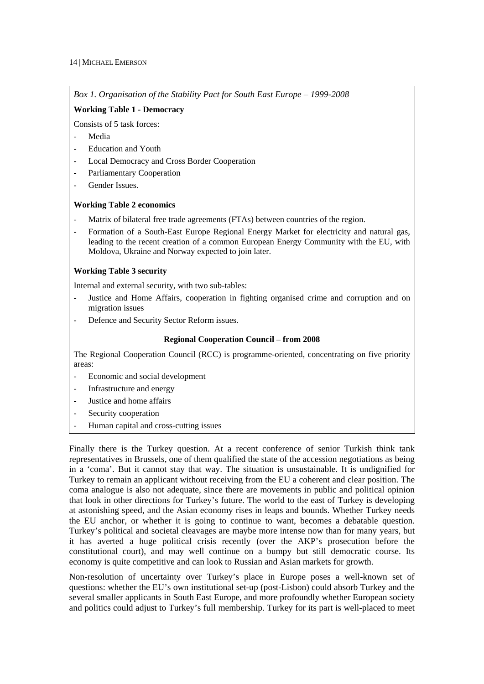*Box 1. Organisation of the Stability Pact for South East Europe – 1999-2008* 

#### **Working Table 1 - Democracy**

Consists of 5 task forces:

- Media
- Education and Youth
- Local Democracy and Cross Border Cooperation
- Parliamentary Cooperation
- Gender Issues.

#### **Working Table 2 economics**

- Matrix of bilateral free trade agreements (FTAs) between countries of the region.
- Formation of a South-East Europe Regional Energy Market for electricity and natural gas, leading to the recent creation of a common European Energy Community with the EU, with Moldova, Ukraine and Norway expected to join later.

#### **Working Table 3 security**

Internal and external security, with two sub-tables:

- Justice and Home Affairs, cooperation in fighting organised crime and corruption and on migration issues
- Defence and Security Sector Reform issues.

#### **Regional Cooperation Council – from 2008**

The Regional Cooperation Council (RCC) is programme-oriented, concentrating on five priority areas:

- Economic and social development
- Infrastructure and energy
- Justice and home affairs
- Security cooperation
- Human capital and cross-cutting issues

Finally there is the Turkey question. At a recent conference of senior Turkish think tank representatives in Brussels, one of them qualified the state of the accession negotiations as being in a 'coma'. But it cannot stay that way. The situation is unsustainable. It is undignified for Turkey to remain an applicant without receiving from the EU a coherent and clear position. The coma analogue is also not adequate, since there are movements in public and political opinion that look in other directions for Turkey's future. The world to the east of Turkey is developing at astonishing speed, and the Asian economy rises in leaps and bounds. Whether Turkey needs the EU anchor, or whether it is going to continue to want, becomes a debatable question. Turkey's political and societal cleavages are maybe more intense now than for many years, but it has averted a huge political crisis recently (over the AKP's prosecution before the constitutional court), and may well continue on a bumpy but still democratic course. Its economy is quite competitive and can look to Russian and Asian markets for growth.

Non-resolution of uncertainty over Turkey's place in Europe poses a well-known set of questions: whether the EU's own institutional set-up (post-Lisbon) could absorb Turkey and the several smaller applicants in South East Europe, and more profoundly whether European society and politics could adjust to Turkey's full membership. Turkey for its part is well-placed to meet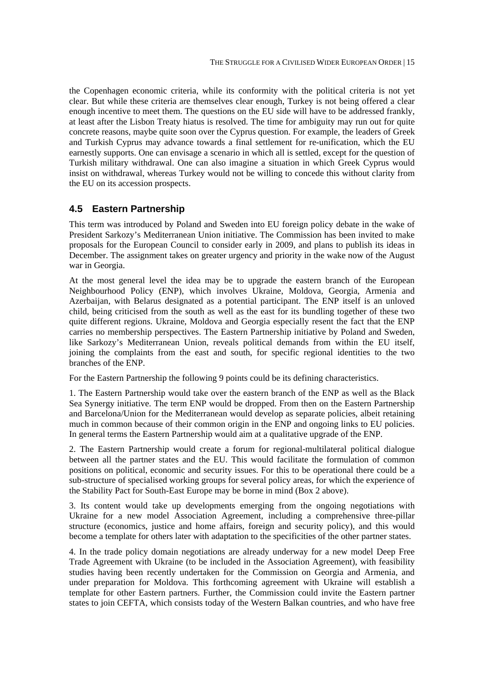the Copenhagen economic criteria, while its conformity with the political criteria is not yet clear. But while these criteria are themselves clear enough, Turkey is not being offered a clear enough incentive to meet them. The questions on the EU side will have to be addressed frankly, at least after the Lisbon Treaty hiatus is resolved. The time for ambiguity may run out for quite concrete reasons, maybe quite soon over the Cyprus question. For example, the leaders of Greek and Turkish Cyprus may advance towards a final settlement for re-unification, which the EU earnestly supports. One can envisage a scenario in which all is settled, except for the question of Turkish military withdrawal. One can also imagine a situation in which Greek Cyprus would insist on withdrawal, whereas Turkey would not be willing to concede this without clarity from the EU on its accession prospects.

## **4.5 Eastern Partnership**

This term was introduced by Poland and Sweden into EU foreign policy debate in the wake of President Sarkozy's Mediterranean Union initiative. The Commission has been invited to make proposals for the European Council to consider early in 2009, and plans to publish its ideas in December. The assignment takes on greater urgency and priority in the wake now of the August war in Georgia.

At the most general level the idea may be to upgrade the eastern branch of the European Neighbourhood Policy (ENP), which involves Ukraine, Moldova, Georgia, Armenia and Azerbaijan, with Belarus designated as a potential participant. The ENP itself is an unloved child, being criticised from the south as well as the east for its bundling together of these two quite different regions. Ukraine, Moldova and Georgia especially resent the fact that the ENP carries no membership perspectives. The Eastern Partnership initiative by Poland and Sweden, like Sarkozy's Mediterranean Union, reveals political demands from within the EU itself, joining the complaints from the east and south, for specific regional identities to the two branches of the ENP.

For the Eastern Partnership the following 9 points could be its defining characteristics.

1. The Eastern Partnership would take over the eastern branch of the ENP as well as the Black Sea Synergy initiative. The term ENP would be dropped. From then on the Eastern Partnership and Barcelona/Union for the Mediterranean would develop as separate policies, albeit retaining much in common because of their common origin in the ENP and ongoing links to EU policies. In general terms the Eastern Partnership would aim at a qualitative upgrade of the ENP.

2. The Eastern Partnership would create a forum for regional-multilateral political dialogue between all the partner states and the EU. This would facilitate the formulation of common positions on political, economic and security issues. For this to be operational there could be a sub-structure of specialised working groups for several policy areas, for which the experience of the Stability Pact for South-East Europe may be borne in mind (Box 2 above).

3. Its content would take up developments emerging from the ongoing negotiations with Ukraine for a new model Association Agreement, including a comprehensive three-pillar structure (economics, justice and home affairs, foreign and security policy), and this would become a template for others later with adaptation to the specificities of the other partner states.

4. In the trade policy domain negotiations are already underway for a new model Deep Free Trade Agreement with Ukraine (to be included in the Association Agreement), with feasibility studies having been recently undertaken for the Commission on Georgia and Armenia, and under preparation for Moldova. This forthcoming agreement with Ukraine will establish a template for other Eastern partners. Further, the Commission could invite the Eastern partner states to join CEFTA, which consists today of the Western Balkan countries, and who have free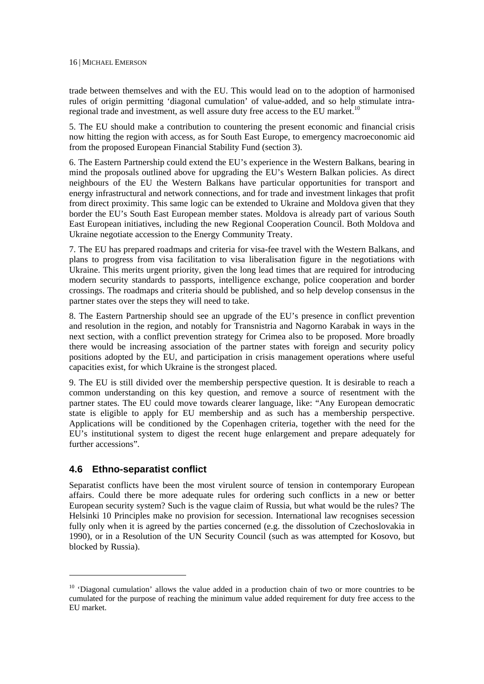trade between themselves and with the EU. This would lead on to the adoption of harmonised rules of origin permitting 'diagonal cumulation' of value-added, and so help stimulate intraregional trade and investment, as well assure duty free access to the EU market.<sup>10</sup>

5. The EU should make a contribution to countering the present economic and financial crisis now hitting the region with access, as for South East Europe, to emergency macroeconomic aid from the proposed European Financial Stability Fund (section 3).

6. The Eastern Partnership could extend the EU's experience in the Western Balkans, bearing in mind the proposals outlined above for upgrading the EU's Western Balkan policies. As direct neighbours of the EU the Western Balkans have particular opportunities for transport and energy infrastructural and network connections, and for trade and investment linkages that profit from direct proximity. This same logic can be extended to Ukraine and Moldova given that they border the EU's South East European member states. Moldova is already part of various South East European initiatives, including the new Regional Cooperation Council. Both Moldova and Ukraine negotiate accession to the Energy Community Treaty.

7. The EU has prepared roadmaps and criteria for visa-fee travel with the Western Balkans, and plans to progress from visa facilitation to visa liberalisation figure in the negotiations with Ukraine. This merits urgent priority, given the long lead times that are required for introducing modern security standards to passports, intelligence exchange, police cooperation and border crossings. The roadmaps and criteria should be published, and so help develop consensus in the partner states over the steps they will need to take.

8. The Eastern Partnership should see an upgrade of the EU's presence in conflict prevention and resolution in the region, and notably for Transnistria and Nagorno Karabak in ways in the next section, with a conflict prevention strategy for Crimea also to be proposed. More broadly there would be increasing association of the partner states with foreign and security policy positions adopted by the EU, and participation in crisis management operations where useful capacities exist, for which Ukraine is the strongest placed.

9. The EU is still divided over the membership perspective question. It is desirable to reach a common understanding on this key question, and remove a source of resentment with the partner states. The EU could move towards clearer language, like: "Any European democratic state is eligible to apply for EU membership and as such has a membership perspective. Applications will be conditioned by the Copenhagen criteria, together with the need for the EU's institutional system to digest the recent huge enlargement and prepare adequately for further accessions".

## **4.6 Ethno-separatist conflict**

-

Separatist conflicts have been the most virulent source of tension in contemporary European affairs. Could there be more adequate rules for ordering such conflicts in a new or better European security system? Such is the vague claim of Russia, but what would be the rules? The Helsinki 10 Principles make no provision for secession. International law recognises secession fully only when it is agreed by the parties concerned (e.g. the dissolution of Czechoslovakia in 1990), or in a Resolution of the UN Security Council (such as was attempted for Kosovo, but blocked by Russia).

 $10$  'Diagonal cumulation' allows the value added in a production chain of two or more countries to be cumulated for the purpose of reaching the minimum value added requirement for duty free access to the EU market.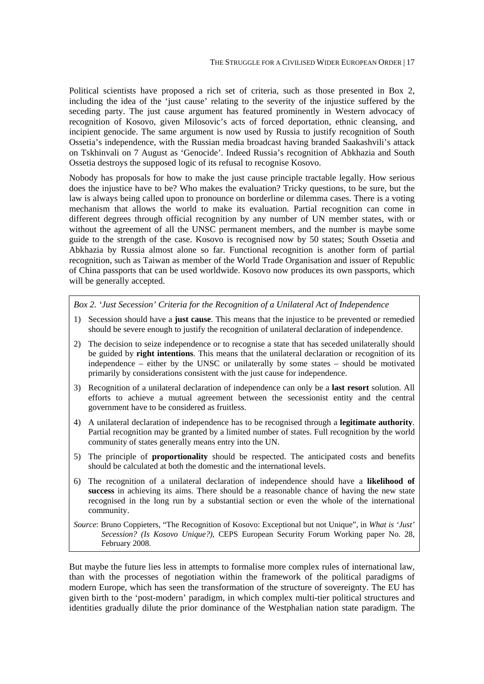Political scientists have proposed a rich set of criteria, such as those presented in Box 2, including the idea of the 'just cause' relating to the severity of the injustice suffered by the seceding party. The just cause argument has featured prominently in Western advocacy of recognition of Kosovo, given Milosovic's acts of forced deportation, ethnic cleansing, and incipient genocide. The same argument is now used by Russia to justify recognition of South Ossetia's independence, with the Russian media broadcast having branded Saakashvili's attack on Tskhinvali on 7 August as 'Genocide'. Indeed Russia's recognition of Abkhazia and South Ossetia destroys the supposed logic of its refusal to recognise Kosovo.

Nobody has proposals for how to make the just cause principle tractable legally. How serious does the injustice have to be? Who makes the evaluation? Tricky questions, to be sure, but the law is always being called upon to pronounce on borderline or dilemma cases. There is a voting mechanism that allows the world to make its evaluation. Partial recognition can come in different degrees through official recognition by any number of UN member states, with or without the agreement of all the UNSC permanent members, and the number is maybe some guide to the strength of the case. Kosovo is recognised now by 50 states; South Ossetia and Abkhazia by Russia almost alone so far. Functional recognition is another form of partial recognition, such as Taiwan as member of the World Trade Organisation and issuer of Republic of China passports that can be used worldwide. Kosovo now produces its own passports, which will be generally accepted.

*Box 2. 'Just Secession' Criteria for the Recognition of a Unilateral Act of Independence*

- 1) Secession should have a **just cause**. This means that the injustice to be prevented or remedied should be severe enough to justify the recognition of unilateral declaration of independence.
- 2) The decision to seize independence or to recognise a state that has seceded unilaterally should be guided by **right intentions**. This means that the unilateral declaration or recognition of its independence – either by the UNSC or unilaterally by some states – should be motivated primarily by considerations consistent with the just cause for independence.
- 3) Recognition of a unilateral declaration of independence can only be a **last resort** solution. All efforts to achieve a mutual agreement between the secessionist entity and the central government have to be considered as fruitless.
- 4) A unilateral declaration of independence has to be recognised through a **legitimate authority**. Partial recognition may be granted by a limited number of states. Full recognition by the world community of states generally means entry into the UN.
- 5) The principle of **proportionality** should be respected. The anticipated costs and benefits should be calculated at both the domestic and the international levels.
- 6) The recognition of a unilateral declaration of independence should have a **likelihood of success** in achieving its aims. There should be a reasonable chance of having the new state recognised in the long run by a substantial section or even the whole of the international community.
- *Source*: Bruno Coppieters, "The Recognition of Kosovo: Exceptional but not Unique", in *What is 'Just' Secession? (Is Kosovo Unique?)*, CEPS European Security Forum Working paper No. 28, February 2008.

But maybe the future lies less in attempts to formalise more complex rules of international law, than with the processes of negotiation within the framework of the political paradigms of modern Europe, which has seen the transformation of the structure of sovereignty. The EU has given birth to the 'post-modern' paradigm, in which complex multi-tier political structures and identities gradually dilute the prior dominance of the Westphalian nation state paradigm. The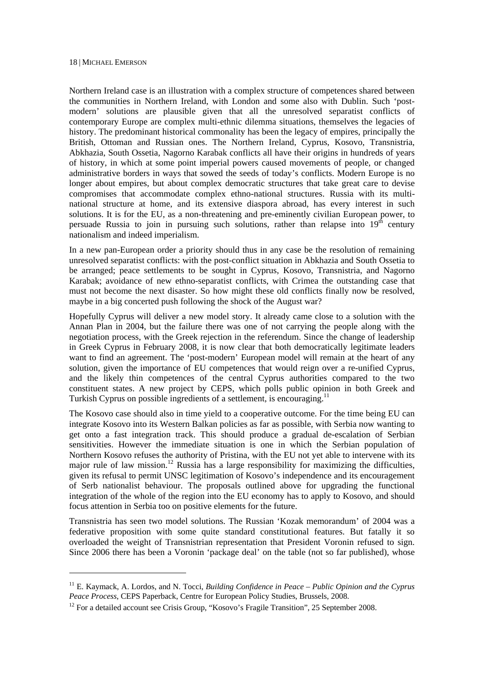-

Northern Ireland case is an illustration with a complex structure of competences shared between the communities in Northern Ireland, with London and some also with Dublin. Such 'postmodern' solutions are plausible given that all the unresolved separatist conflicts of contemporary Europe are complex multi-ethnic dilemma situations, themselves the legacies of history. The predominant historical commonality has been the legacy of empires, principally the British, Ottoman and Russian ones. The Northern Ireland, Cyprus, Kosovo, Transnistria, Abkhazia, South Ossetia, Nagorno Karabak conflicts all have their origins in hundreds of years of history, in which at some point imperial powers caused movements of people, or changed administrative borders in ways that sowed the seeds of today's conflicts. Modern Europe is no longer about empires, but about complex democratic structures that take great care to devise compromises that accommodate complex ethno-national structures. Russia with its multinational structure at home, and its extensive diaspora abroad, has every interest in such solutions. It is for the EU, as a non-threatening and pre-eminently civilian European power, to persuade Russia to join in pursuing such solutions, rather than relapse into  $19<sup>th</sup>$  century nationalism and indeed imperialism.

In a new pan-European order a priority should thus in any case be the resolution of remaining unresolved separatist conflicts: with the post-conflict situation in Abkhazia and South Ossetia to be arranged; peace settlements to be sought in Cyprus, Kosovo, Transnistria, and Nagorno Karabak; avoidance of new ethno-separatist conflicts, with Crimea the outstanding case that must not become the next disaster. So how might these old conflicts finally now be resolved, maybe in a big concerted push following the shock of the August war?

Hopefully Cyprus will deliver a new model story. It already came close to a solution with the Annan Plan in 2004, but the failure there was one of not carrying the people along with the negotiation process, with the Greek rejection in the referendum. Since the change of leadership in Greek Cyprus in February 2008, it is now clear that both democratically legitimate leaders want to find an agreement. The 'post-modern' European model will remain at the heart of any solution, given the importance of EU competences that would reign over a re-unified Cyprus, and the likely thin competences of the central Cyprus authorities compared to the two constituent states. A new project by CEPS, which polls public opinion in both Greek and Turkish Cyprus on possible ingredients of a settlement, is encouraging.<sup>11</sup>

The Kosovo case should also in time yield to a cooperative outcome. For the time being EU can integrate Kosovo into its Western Balkan policies as far as possible, with Serbia now wanting to get onto a fast integration track. This should produce a gradual de-escalation of Serbian sensitivities. However the immediate situation is one in which the Serbian population of Northern Kosovo refuses the authority of Pristina, with the EU not yet able to intervene with its major rule of law mission.<sup>12</sup> Russia has a large responsibility for maximizing the difficulties, given its refusal to permit UNSC legitimation of Kosovo's independence and its encouragement of Serb nationalist behaviour. The proposals outlined above for upgrading the functional integration of the whole of the region into the EU economy has to apply to Kosovo, and should focus attention in Serbia too on positive elements for the future.

Transnistria has seen two model solutions. The Russian 'Kozak memorandum' of 2004 was a federative proposition with some quite standard constitutional features. But fatally it so overloaded the weight of Transnistrian representation that President Voronin refused to sign. Since 2006 there has been a Voronin 'package deal' on the table (not so far published), whose

<sup>&</sup>lt;sup>11</sup> E. Kaymack, A. Lordos, and N. Tocci, *Building Confidence in Peace – Public Opinion and the Cyprus Peace Process*, CEPS Paperback, Centre for European Policy Studies, Brussels, 2008.

<sup>&</sup>lt;sup>12</sup> For a detailed account see Crisis Group, "Kosovo's Fragile Transition", 25 September 2008.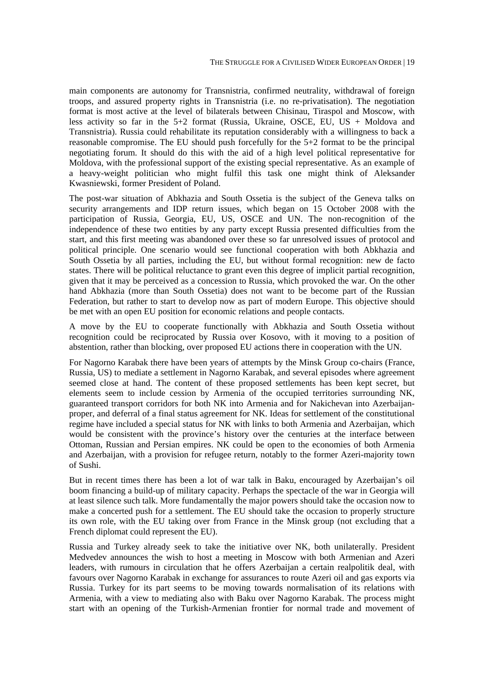main components are autonomy for Transnistria, confirmed neutrality, withdrawal of foreign troops, and assured property rights in Transnistria (i.e. no re-privatisation). The negotiation format is most active at the level of bilaterals between Chisinau, Tiraspol and Moscow, with less activity so far in the  $5+2$  format (Russia, Ukraine, OSCE, EU, US + Moldova and Transnistria). Russia could rehabilitate its reputation considerably with a willingness to back a reasonable compromise. The EU should push forcefully for the 5+2 format to be the principal negotiating forum. It should do this with the aid of a high level political representative for Moldova, with the professional support of the existing special representative. As an example of a heavy-weight politician who might fulfil this task one might think of Aleksander Kwasniewski, former President of Poland.

The post-war situation of Abkhazia and South Ossetia is the subject of the Geneva talks on security arrangements and IDP return issues, which began on 15 October 2008 with the participation of Russia, Georgia, EU, US, OSCE and UN. The non-recognition of the independence of these two entities by any party except Russia presented difficulties from the start, and this first meeting was abandoned over these so far unresolved issues of protocol and political principle. One scenario would see functional cooperation with both Abkhazia and South Ossetia by all parties, including the EU, but without formal recognition: new de facto states. There will be political reluctance to grant even this degree of implicit partial recognition, given that it may be perceived as a concession to Russia, which provoked the war. On the other hand Abkhazia (more than South Ossetia) does not want to be become part of the Russian Federation, but rather to start to develop now as part of modern Europe. This objective should be met with an open EU position for economic relations and people contacts.

A move by the EU to cooperate functionally with Abkhazia and South Ossetia without recognition could be reciprocated by Russia over Kosovo, with it moving to a position of abstention, rather than blocking, over proposed EU actions there in cooperation with the UN.

For Nagorno Karabak there have been years of attempts by the Minsk Group co-chairs (France, Russia, US) to mediate a settlement in Nagorno Karabak, and several episodes where agreement seemed close at hand. The content of these proposed settlements has been kept secret, but elements seem to include cession by Armenia of the occupied territories surrounding NK, guaranteed transport corridors for both NK into Armenia and for Nakichevan into Azerbaijanproper, and deferral of a final status agreement for NK. Ideas for settlement of the constitutional regime have included a special status for NK with links to both Armenia and Azerbaijan, which would be consistent with the province's history over the centuries at the interface between Ottoman, Russian and Persian empires. NK could be open to the economies of both Armenia and Azerbaijan, with a provision for refugee return, notably to the former Azeri-majority town of Sushi.

But in recent times there has been a lot of war talk in Baku, encouraged by Azerbaijan's oil boom financing a build-up of military capacity. Perhaps the spectacle of the war in Georgia will at least silence such talk. More fundamentally the major powers should take the occasion now to make a concerted push for a settlement. The EU should take the occasion to properly structure its own role, with the EU taking over from France in the Minsk group (not excluding that a French diplomat could represent the EU).

Russia and Turkey already seek to take the initiative over NK, both unilaterally. President Medvedev announces the wish to host a meeting in Moscow with both Armenian and Azeri leaders, with rumours in circulation that he offers Azerbaijan a certain realpolitik deal, with favours over Nagorno Karabak in exchange for assurances to route Azeri oil and gas exports via Russia. Turkey for its part seems to be moving towards normalisation of its relations with Armenia, with a view to mediating also with Baku over Nagorno Karabak. The process might start with an opening of the Turkish-Armenian frontier for normal trade and movement of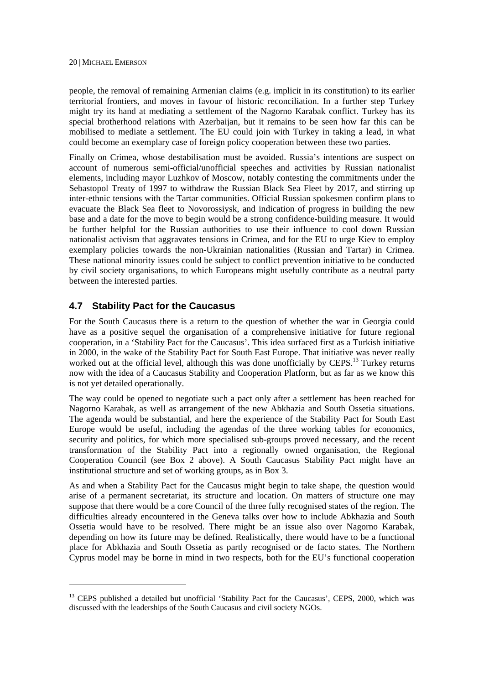people, the removal of remaining Armenian claims (e.g. implicit in its constitution) to its earlier territorial frontiers, and moves in favour of historic reconciliation. In a further step Turkey might try its hand at mediating a settlement of the Nagorno Karabak conflict. Turkey has its special brotherhood relations with Azerbaijan, but it remains to be seen how far this can be mobilised to mediate a settlement. The EU could join with Turkey in taking a lead, in what could become an exemplary case of foreign policy cooperation between these two parties.

Finally on Crimea, whose destabilisation must be avoided. Russia's intentions are suspect on account of numerous semi-official/unofficial speeches and activities by Russian nationalist elements, including mayor Luzhkov of Moscow, notably contesting the commitments under the Sebastopol Treaty of 1997 to withdraw the Russian Black Sea Fleet by 2017, and stirring up inter-ethnic tensions with the Tartar communities. Official Russian spokesmen confirm plans to evacuate the Black Sea fleet to Novorossiysk, and indication of progress in building the new base and a date for the move to begin would be a strong confidence-building measure. It would be further helpful for the Russian authorities to use their influence to cool down Russian nationalist activism that aggravates tensions in Crimea, and for the EU to urge Kiev to employ exemplary policies towards the non-Ukrainian nationalities (Russian and Tartar) in Crimea. These national minority issues could be subject to conflict prevention initiative to be conducted by civil society organisations, to which Europeans might usefully contribute as a neutral party between the interested parties.

## **4.7 Stability Pact for the Caucasus**

<u>.</u>

For the South Caucasus there is a return to the question of whether the war in Georgia could have as a positive sequel the organisation of a comprehensive initiative for future regional cooperation, in a 'Stability Pact for the Caucasus'. This idea surfaced first as a Turkish initiative in 2000, in the wake of the Stability Pact for South East Europe. That initiative was never really worked out at the official level, although this was done unofficially by CEPS.<sup>13</sup> Turkey returns now with the idea of a Caucasus Stability and Cooperation Platform, but as far as we know this is not yet detailed operationally.

The way could be opened to negotiate such a pact only after a settlement has been reached for Nagorno Karabak, as well as arrangement of the new Abkhazia and South Ossetia situations. The agenda would be substantial, and here the experience of the Stability Pact for South East Europe would be useful, including the agendas of the three working tables for economics, security and politics, for which more specialised sub-groups proved necessary, and the recent transformation of the Stability Pact into a regionally owned organisation, the Regional Cooperation Council (see Box 2 above). A South Caucasus Stability Pact might have an institutional structure and set of working groups, as in Box 3.

As and when a Stability Pact for the Caucasus might begin to take shape, the question would arise of a permanent secretariat, its structure and location. On matters of structure one may suppose that there would be a core Council of the three fully recognised states of the region. The difficulties already encountered in the Geneva talks over how to include Abkhazia and South Ossetia would have to be resolved. There might be an issue also over Nagorno Karabak, depending on how its future may be defined. Realistically, there would have to be a functional place for Abkhazia and South Ossetia as partly recognised or de facto states. The Northern Cyprus model may be borne in mind in two respects, both for the EU's functional cooperation

<sup>&</sup>lt;sup>13</sup> CEPS published a detailed but unofficial 'Stability Pact for the Caucasus', CEPS, 2000, which was discussed with the leaderships of the South Caucasus and civil society NGOs.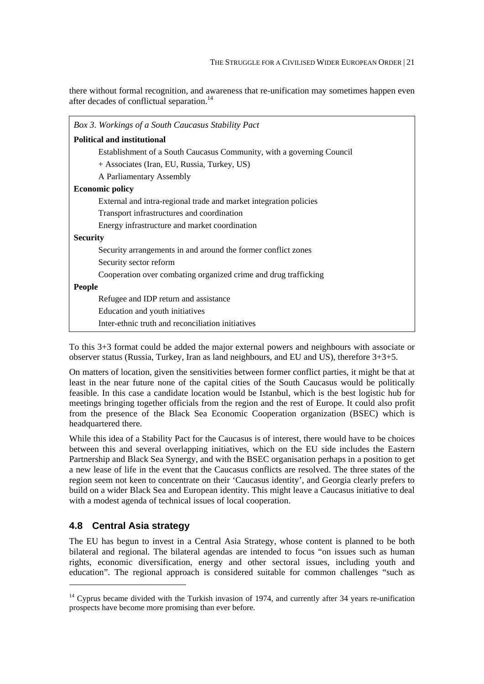there without formal recognition, and awareness that re-unification may sometimes happen even after decades of conflictual separation.<sup>14</sup>

| Box 3. Workings of a South Caucasus Stability Pact                    |  |  |  |
|-----------------------------------------------------------------------|--|--|--|
| <b>Political and institutional</b>                                    |  |  |  |
| Establishment of a South Caucasus Community, with a governing Council |  |  |  |
| + Associates (Iran, EU, Russia, Turkey, US)                           |  |  |  |
| A Parliamentary Assembly                                              |  |  |  |
| <b>Economic policy</b>                                                |  |  |  |
| External and intra-regional trade and market integration policies     |  |  |  |
| Transport infrastructures and coordination                            |  |  |  |
| Energy infrastructure and market coordination                         |  |  |  |
| <b>Security</b>                                                       |  |  |  |
| Security arrangements in and around the former conflict zones         |  |  |  |
| Security sector reform                                                |  |  |  |
| Cooperation over combating organized crime and drug trafficking       |  |  |  |
| <b>People</b>                                                         |  |  |  |
| Refugee and IDP return and assistance                                 |  |  |  |
| Education and youth initiatives                                       |  |  |  |
| Inter-ethnic truth and reconciliation initiatives                     |  |  |  |

To this 3+3 format could be added the major external powers and neighbours with associate or observer status (Russia, Turkey, Iran as land neighbours, and EU and US), therefore 3+3+5.

On matters of location, given the sensitivities between former conflict parties, it might be that at least in the near future none of the capital cities of the South Caucasus would be politically feasible. In this case a candidate location would be Istanbul, which is the best logistic hub for meetings bringing together officials from the region and the rest of Europe. It could also profit from the presence of the Black Sea Economic Cooperation organization (BSEC) which is headquartered there.

While this idea of a Stability Pact for the Caucasus is of interest, there would have to be choices between this and several overlapping initiatives, which on the EU side includes the Eastern Partnership and Black Sea Synergy, and with the BSEC organisation perhaps in a position to get a new lease of life in the event that the Caucasus conflicts are resolved. The three states of the region seem not keen to concentrate on their 'Caucasus identity', and Georgia clearly prefers to build on a wider Black Sea and European identity. This might leave a Caucasus initiative to deal with a modest agenda of technical issues of local cooperation.

## **4.8 Central Asia strategy**

1

The EU has begun to invest in a Central Asia Strategy, whose content is planned to be both bilateral and regional. The bilateral agendas are intended to focus "on issues such as human rights, economic diversification, energy and other sectoral issues, including youth and education". The regional approach is considered suitable for common challenges "such as

 $14$  Cyprus became divided with the Turkish invasion of 1974, and currently after 34 years re-unification prospects have become more promising than ever before.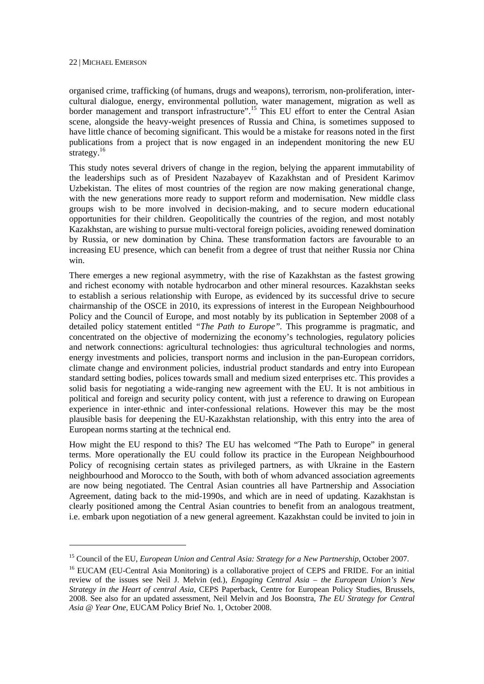-

organised crime, trafficking (of humans, drugs and weapons), terrorism, non-proliferation, intercultural dialogue, energy, environmental pollution, water management, migration as well as border management and transport infrastructure".<sup>15</sup> This EU effort to enter the Central Asian scene, alongside the heavy-weight presences of Russia and China, is sometimes supposed to have little chance of becoming significant. This would be a mistake for reasons noted in the first publications from a project that is now engaged in an independent monitoring the new EU strategy. $^{16}$ 

This study notes several drivers of change in the region, belying the apparent immutability of the leaderships such as of President Nazabayev of Kazakhstan and of President Karimov Uzbekistan. The elites of most countries of the region are now making generational change, with the new generations more ready to support reform and modernisation. New middle class groups wish to be more involved in decision-making, and to secure modern educational opportunities for their children. Geopolitically the countries of the region, and most notably Kazakhstan, are wishing to pursue multi-vectoral foreign policies, avoiding renewed domination by Russia, or new domination by China. These transformation factors are favourable to an increasing EU presence, which can benefit from a degree of trust that neither Russia nor China win.

There emerges a new regional asymmetry, with the rise of Kazakhstan as the fastest growing and richest economy with notable hydrocarbon and other mineral resources. Kazakhstan seeks to establish a serious relationship with Europe, as evidenced by its successful drive to secure chairmanship of the OSCE in 2010, its expressions of interest in the European Neighbourhood Policy and the Council of Europe, and most notably by its publication in September 2008 of a detailed policy statement entitled *"The Path to Europe".* This programme is pragmatic, and concentrated on the objective of modernizing the economy's technologies, regulatory policies and network connections: agricultural technologies: thus agricultural technologies and norms, energy investments and policies, transport norms and inclusion in the pan-European corridors, climate change and environment policies, industrial product standards and entry into European standard setting bodies, polices towards small and medium sized enterprises etc. This provides a solid basis for negotiating a wide-ranging new agreement with the EU. It is not ambitious in political and foreign and security policy content, with just a reference to drawing on European experience in inter-ethnic and inter-confessional relations. However this may be the most plausible basis for deepening the EU-Kazakhstan relationship, with this entry into the area of European norms starting at the technical end.

How might the EU respond to this? The EU has welcomed "The Path to Europe" in general terms. More operationally the EU could follow its practice in the European Neighbourhood Policy of recognising certain states as privileged partners, as with Ukraine in the Eastern neighbourhood and Morocco to the South, with both of whom advanced association agreements are now being negotiated. The Central Asian countries all have Partnership and Association Agreement, dating back to the mid-1990s, and which are in need of updating. Kazakhstan is clearly positioned among the Central Asian countries to benefit from an analogous treatment, i.e. embark upon negotiation of a new general agreement. Kazakhstan could be invited to join in

<sup>15</sup> Council of the EU, *European Union and Central Asia: Strategy for a New Partnership*, October 2007.

<sup>&</sup>lt;sup>16</sup> EUCAM (EU-Central Asia Monitoring) is a collaborative project of CEPS and FRIDE. For an initial review of the issues see Neil J. Melvin (ed.), *Engaging Central Asia – the European Union's New Strategy in the Heart of central Asia*, CEPS Paperback, Centre for European Policy Studies, Brussels, 2008. See also for an updated assessment, Neil Melvin and Jos Boonstra, *The EU Strategy for Central Asia @ Year One*, EUCAM Policy Brief No. 1, October 2008.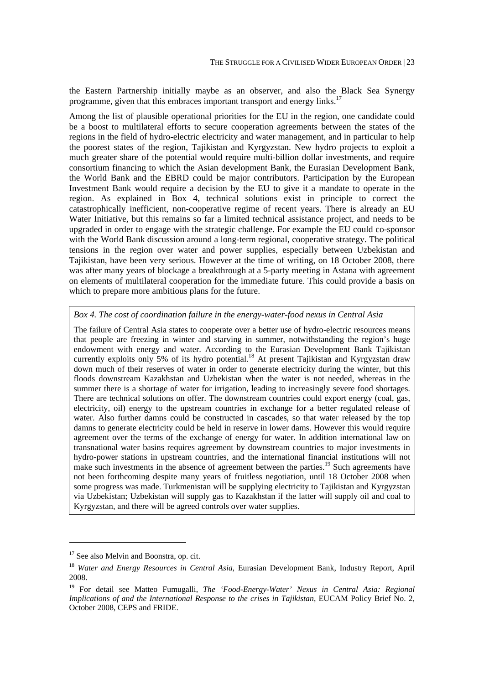the Eastern Partnership initially maybe as an observer, and also the Black Sea Synergy programme, given that this embraces important transport and energy links.<sup>17</sup>

Among the list of plausible operational priorities for the EU in the region, one candidate could be a boost to multilateral efforts to secure cooperation agreements between the states of the regions in the field of hydro-electric electricity and water management, and in particular to help the poorest states of the region, Tajikistan and Kyrgyzstan. New hydro projects to exploit a much greater share of the potential would require multi-billion dollar investments, and require consortium financing to which the Asian development Bank, the Eurasian Development Bank, the World Bank and the EBRD could be major contributors. Participation by the European Investment Bank would require a decision by the EU to give it a mandate to operate in the region. As explained in Box 4, technical solutions exist in principle to correct the catastrophically inefficient, non-cooperative regime of recent years. There is already an EU Water Initiative, but this remains so far a limited technical assistance project, and needs to be upgraded in order to engage with the strategic challenge. For example the EU could co-sponsor with the World Bank discussion around a long-term regional, cooperative strategy. The political tensions in the region over water and power supplies, especially between Uzbekistan and Tajikistan, have been very serious. However at the time of writing, on 18 October 2008, there was after many years of blockage a breakthrough at a 5-party meeting in Astana with agreement on elements of multilateral cooperation for the immediate future. This could provide a basis on which to prepare more ambitious plans for the future.

#### *Box 4. The cost of coordination failure in the energy-water-food nexus in Central Asia*

The failure of Central Asia states to cooperate over a better use of hydro-electric resources means that people are freezing in winter and starving in summer, notwithstanding the region's huge endowment with energy and water. According to the Eurasian Development Bank Tajikistan currently exploits only 5% of its hydro potential.<sup>18</sup> At present Tajikistan and Kyrgyzstan draw down much of their reserves of water in order to generate electricity during the winter, but this floods downstream Kazakhstan and Uzbekistan when the water is not needed, whereas in the summer there is a shortage of water for irrigation, leading to increasingly severe food shortages. There are technical solutions on offer. The downstream countries could export energy (coal, gas, electricity, oil) energy to the upstream countries in exchange for a better regulated release of water. Also further damns could be constructed in cascades, so that water released by the top damns to generate electricity could be held in reserve in lower dams. However this would require agreement over the terms of the exchange of energy for water. In addition international law on transnational water basins requires agreement by downstream countries to major investments in hydro-power stations in upstream countries, and the international financial institutions will not make such investments in the absence of agreement between the parties.<sup>19</sup> Such agreements have not been forthcoming despite many years of fruitless negotiation, until 18 October 2008 when some progress was made. Turkmenistan will be supplying electricity to Tajikistan and Kyrgyzstan via Uzbekistan; Uzbekistan will supply gas to Kazakhstan if the latter will supply oil and coal to Kyrgyzstan, and there will be agreed controls over water supplies.

-

 $17$  See also Melvin and Boonstra, op. cit.

<sup>18</sup> *Water and Energy Resources in Central Asia*, Eurasian Development Bank, Industry Report, April 2008.

<sup>19</sup> For detail see Matteo Fumugalli, *The 'Food-Energy-Water' Nexus in Central Asia: Regional Implications of and the International Response to the crises in Tajikistan*, EUCAM Policy Brief No. 2, October 2008, CEPS and FRIDE.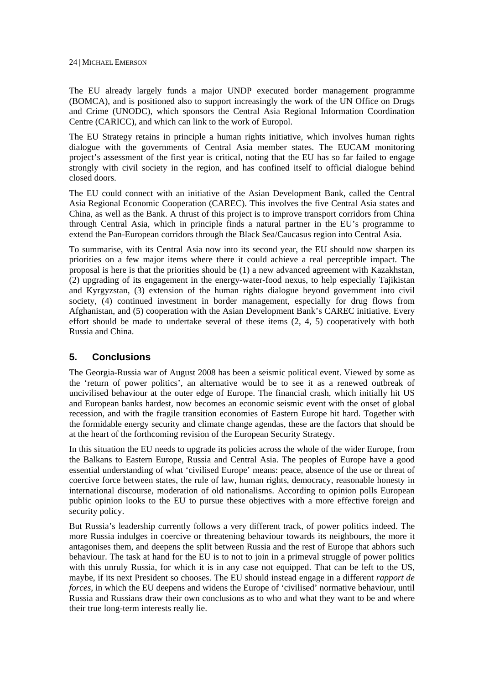The EU already largely funds a major UNDP executed border management programme (BOMCA), and is positioned also to support increasingly the work of the UN Office on Drugs and Crime (UNODC), which sponsors the Central Asia Regional Information Coordination Centre (CARICC), and which can link to the work of Europol.

The EU Strategy retains in principle a human rights initiative, which involves human rights dialogue with the governments of Central Asia member states. The EUCAM monitoring project's assessment of the first year is critical, noting that the EU has so far failed to engage strongly with civil society in the region, and has confined itself to official dialogue behind closed doors.

The EU could connect with an initiative of the Asian Development Bank, called the Central Asia Regional Economic Cooperation (CAREC). This involves the five Central Asia states and China, as well as the Bank. A thrust of this project is to improve transport corridors from China through Central Asia, which in principle finds a natural partner in the EU's programme to extend the Pan-European corridors through the Black Sea/Caucasus region into Central Asia.

To summarise, with its Central Asia now into its second year, the EU should now sharpen its priorities on a few major items where there it could achieve a real perceptible impact. The proposal is here is that the priorities should be (1) a new advanced agreement with Kazakhstan, (2) upgrading of its engagement in the energy-water-food nexus, to help especially Tajikistan and Kyrgyzstan, (3) extension of the human rights dialogue beyond government into civil society, (4) continued investment in border management, especially for drug flows from Afghanistan, and (5) cooperation with the Asian Development Bank's CAREC initiative. Every effort should be made to undertake several of these items (2, 4, 5) cooperatively with both Russia and China.

## **5. Conclusions**

The Georgia-Russia war of August 2008 has been a seismic political event. Viewed by some as the 'return of power politics', an alternative would be to see it as a renewed outbreak of uncivilised behaviour at the outer edge of Europe. The financial crash, which initially hit US and European banks hardest, now becomes an economic seismic event with the onset of global recession, and with the fragile transition economies of Eastern Europe hit hard. Together with the formidable energy security and climate change agendas, these are the factors that should be at the heart of the forthcoming revision of the European Security Strategy.

In this situation the EU needs to upgrade its policies across the whole of the wider Europe, from the Balkans to Eastern Europe, Russia and Central Asia. The peoples of Europe have a good essential understanding of what 'civilised Europe' means: peace, absence of the use or threat of coercive force between states, the rule of law, human rights, democracy, reasonable honesty in international discourse, moderation of old nationalisms. According to opinion polls European public opinion looks to the EU to pursue these objectives with a more effective foreign and security policy.

But Russia's leadership currently follows a very different track, of power politics indeed. The more Russia indulges in coercive or threatening behaviour towards its neighbours, the more it antagonises them, and deepens the split between Russia and the rest of Europe that abhors such behaviour. The task at hand for the EU is to not to join in a primeval struggle of power politics with this unruly Russia, for which it is in any case not equipped. That can be left to the US, maybe, if its next President so chooses. The EU should instead engage in a different *rapport de forces,* in which the EU deepens and widens the Europe of 'civilised' normative behaviour, until Russia and Russians draw their own conclusions as to who and what they want to be and where their true long-term interests really lie.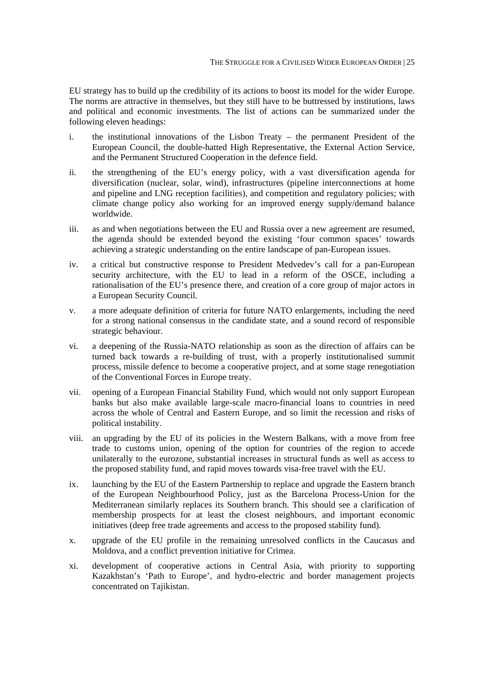EU strategy has to build up the credibility of its actions to boost its model for the wider Europe. The norms are attractive in themselves, but they still have to be buttressed by institutions, laws and political and economic investments. The list of actions can be summarized under the following eleven headings:

- i. the institutional innovations of the Lisbon Treaty the permanent President of the European Council, the double-hatted High Representative, the External Action Service, and the Permanent Structured Cooperation in the defence field.
- ii. the strengthening of the EU's energy policy, with a vast diversification agenda for diversification (nuclear, solar, wind), infrastructures (pipeline interconnections at home and pipeline and LNG reception facilities), and competition and regulatory policies; with climate change policy also working for an improved energy supply/demand balance worldwide.
- iii. as and when negotiations between the EU and Russia over a new agreement are resumed, the agenda should be extended beyond the existing 'four common spaces' towards achieving a strategic understanding on the entire landscape of pan-European issues.
- iv. a critical but constructive response to President Medvedev's call for a pan-European security architecture, with the EU to lead in a reform of the OSCE, including a rationalisation of the EU's presence there, and creation of a core group of major actors in a European Security Council.
- v. a more adequate definition of criteria for future NATO enlargements, including the need for a strong national consensus in the candidate state, and a sound record of responsible strategic behaviour.
- vi. a deepening of the Russia-NATO relationship as soon as the direction of affairs can be turned back towards a re-building of trust, with a properly institutionalised summit process, missile defence to become a cooperative project, and at some stage renegotiation of the Conventional Forces in Europe treaty.
- vii. opening of a European Financial Stability Fund, which would not only support European banks but also make available large-scale macro-financial loans to countries in need across the whole of Central and Eastern Europe, and so limit the recession and risks of political instability.
- viii. an upgrading by the EU of its policies in the Western Balkans, with a move from free trade to customs union, opening of the option for countries of the region to accede unilaterally to the eurozone, substantial increases in structural funds as well as access to the proposed stability fund, and rapid moves towards visa-free travel with the EU.
- ix. launching by the EU of the Eastern Partnership to replace and upgrade the Eastern branch of the European Neighbourhood Policy, just as the Barcelona Process-Union for the Mediterranean similarly replaces its Southern branch. This should see a clarification of membership prospects for at least the closest neighbours, and important economic initiatives (deep free trade agreements and access to the proposed stability fund).
- x. upgrade of the EU profile in the remaining unresolved conflicts in the Caucasus and Moldova, and a conflict prevention initiative for Crimea.
- xi. development of cooperative actions in Central Asia, with priority to supporting Kazakhstan's 'Path to Europe', and hydro-electric and border management projects concentrated on Tajikistan.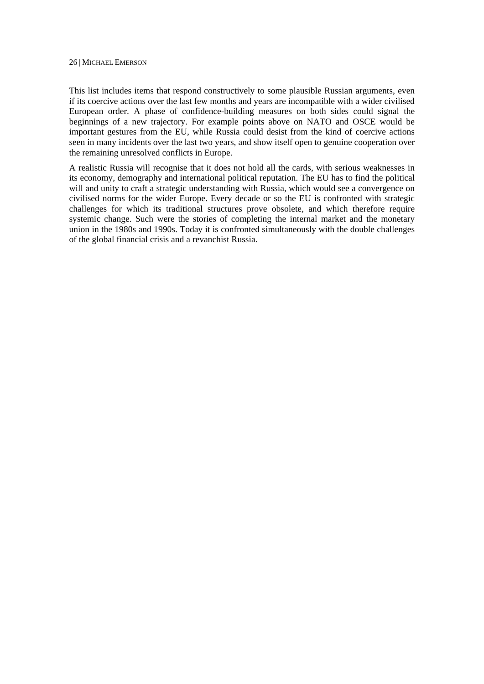This list includes items that respond constructively to some plausible Russian arguments, even if its coercive actions over the last few months and years are incompatible with a wider civilised European order. A phase of confidence-building measures on both sides could signal the beginnings of a new trajectory. For example points above on NATO and OSCE would be important gestures from the EU, while Russia could desist from the kind of coercive actions seen in many incidents over the last two years, and show itself open to genuine cooperation over the remaining unresolved conflicts in Europe.

A realistic Russia will recognise that it does not hold all the cards, with serious weaknesses in its economy, demography and international political reputation. The EU has to find the political will and unity to craft a strategic understanding with Russia, which would see a convergence on civilised norms for the wider Europe. Every decade or so the EU is confronted with strategic challenges for which its traditional structures prove obsolete, and which therefore require systemic change. Such were the stories of completing the internal market and the monetary union in the 1980s and 1990s. Today it is confronted simultaneously with the double challenges of the global financial crisis and a revanchist Russia.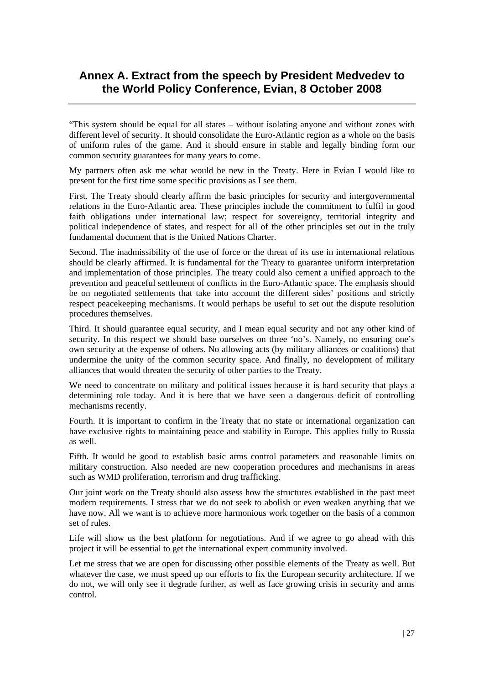## **Annex A. Extract from the speech by President Medvedev to the World Policy Conference, Evian, 8 October 2008**

"This system should be equal for all states – without isolating anyone and without zones with different level of security. It should consolidate the Euro-Atlantic region as a whole on the basis of uniform rules of the game. And it should ensure in stable and legally binding form our common security guarantees for many years to come.

My partners often ask me what would be new in the Treaty. Here in Evian I would like to present for the first time some specific provisions as I see them.

First. The Treaty should clearly affirm the basic principles for security and intergovernmental relations in the Euro-Atlantic area. These principles include the commitment to fulfil in good faith obligations under international law; respect for sovereignty, territorial integrity and political independence of states, and respect for all of the other principles set out in the truly fundamental document that is the United Nations Charter.

Second. The inadmissibility of the use of force or the threat of its use in international relations should be clearly affirmed. It is fundamental for the Treaty to guarantee uniform interpretation and implementation of those principles. The treaty could also cement a unified approach to the prevention and peaceful settlement of conflicts in the Euro-Atlantic space. The emphasis should be on negotiated settlements that take into account the different sides' positions and strictly respect peacekeeping mechanisms. It would perhaps be useful to set out the dispute resolution procedures themselves.

Third. It should guarantee equal security, and I mean equal security and not any other kind of security. In this respect we should base ourselves on three 'no's. Namely, no ensuring one's own security at the expense of others. No allowing acts (by military alliances or coalitions) that undermine the unity of the common security space. And finally, no development of military alliances that would threaten the security of other parties to the Treaty.

We need to concentrate on military and political issues because it is hard security that plays a determining role today. And it is here that we have seen a dangerous deficit of controlling mechanisms recently.

Fourth. It is important to confirm in the Treaty that no state or international organization can have exclusive rights to maintaining peace and stability in Europe. This applies fully to Russia as well.

Fifth. It would be good to establish basic arms control parameters and reasonable limits on military construction. Also needed are new cooperation procedures and mechanisms in areas such as WMD proliferation, terrorism and drug trafficking.

Our joint work on the Treaty should also assess how the structures established in the past meet modern requirements. I stress that we do not seek to abolish or even weaken anything that we have now. All we want is to achieve more harmonious work together on the basis of a common set of rules.

Life will show us the best platform for negotiations. And if we agree to go ahead with this project it will be essential to get the international expert community involved.

Let me stress that we are open for discussing other possible elements of the Treaty as well. But whatever the case, we must speed up our efforts to fix the European security architecture. If we do not, we will only see it degrade further, as well as face growing crisis in security and arms control.